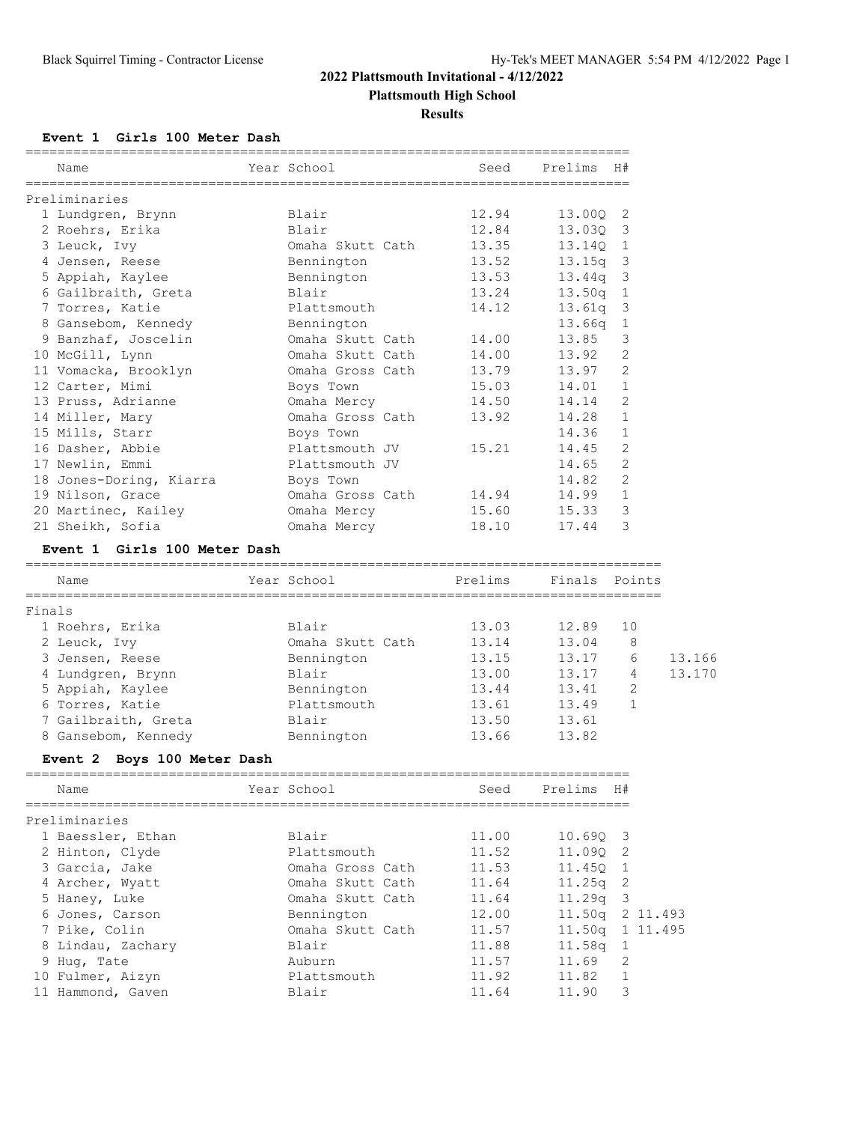# **Plattsmouth High School**

**Results**

**Event 1 Girls 100 Meter Dash**

| Name                                        | Year School        | ================================<br>Seed | Prelims    | H#                      |                  |
|---------------------------------------------|--------------------|------------------------------------------|------------|-------------------------|------------------|
| Preliminaries                               |                    |                                          |            |                         |                  |
| 1 Lundgren, Brynn                           | Blair              | 12.94                                    | 13.00Q     | 2                       |                  |
| 2 Roehrs, Erika                             | Blair              | 12.84                                    | 13.03Q 3   |                         |                  |
| 3 Leuck, Ivy                                | Omaha Skutt Cath   | 13.35                                    | 13.140 1   |                         |                  |
| 4 Jensen, Reese                             | Bennington         | 13.52                                    | $13.15q$ 3 |                         |                  |
| 5 Appiah, Kaylee                            | Bennington         | 13.53                                    | 13.44q     | 3                       |                  |
| 6 Gailbraith, Greta                         | Blair              | 13.24                                    | 13.50q     | $\overline{1}$          |                  |
| 7 Torres, Katie                             | Plattsmouth        | 14.12                                    | 13.61q     | $\mathbf{3}$            |                  |
| 8 Gansebom, Kennedy                         | Bennington         |                                          | 13.66q 1   |                         |                  |
| 9 Banzhaf, Joscelin                         | Omaha Skutt Cath   | 14.00                                    | 13.85      | 3                       |                  |
| 10 McGill, Lynn                             | Omaha Skutt Cath   | 14.00                                    | 13.92      | 2                       |                  |
| 11 Vomacka, Brooklyn                        | Omaha Gross Cath   | 13.79                                    | 13.97      | 2                       |                  |
| 12 Carter, Mimi                             | Boys Town          | 15.03                                    | 14.01      | $\mathbf{1}$            |                  |
| 13 Pruss, Adrianne                          | Omaha Mercy        | 14.50                                    | 14.14      | 2                       |                  |
| 14 Miller, Mary                             | Omaha Gross Cath   | 13.92                                    | 14.28      | $\mathbf{1}$            |                  |
| 15 Mills, Starr                             | Boys Town          |                                          | 14.36      | 1                       |                  |
| 16 Dasher, Abbie                            | Plattsmouth JV     | 15.21                                    | 14.45      | 2                       |                  |
| 17 Newlin, Emmi                             | Plattsmouth JV     |                                          | 14.65      | 2                       |                  |
| 18 Jones-Doring, Kiarra                     | Boys Town          |                                          | 14.82      | 2                       |                  |
| 19 Nilson, Grace                            | Omaha Gross Cath   | 14.94                                    | 14.99      | $\mathbf{1}$            |                  |
| 20 Martinec, Kailey                         | Omaha Mercy        | 15.60                                    | 15.33      | 3                       |                  |
| 21 Sheikh, Sofia                            | Omaha Mercy        | 18.10                                    | 17.44      | 3                       |                  |
| Event 1 Girls 100 Meter Dash                |                    |                                          |            |                         |                  |
|                                             |                    |                                          |            |                         |                  |
| Name                                        | Year School        | Prelims                                  | Finals     | Points                  |                  |
|                                             |                    |                                          |            |                         |                  |
| 1 Roehrs, Erika                             | Blair              | 13.03                                    | 12.89      | 10                      |                  |
| 2 Leuck, Ivy                                | Omaha Skutt Cath   | 13.14                                    | 13.04      | 8                       |                  |
| 3 Jensen, Reese                             | Bennington         | 13.15                                    | 13.17      | 6                       |                  |
| 4 Lundgren, Brynn                           | Blair              | 13.00                                    | 13.17      | 4                       |                  |
| 5 Appiah, Kaylee                            | Bennington         | 13.44                                    | 13.41      | 2                       |                  |
| 6 Torres, Katie                             | Plattsmouth        | 13.61                                    | 13.49      | $\mathbf 1$             |                  |
| 7 Gailbraith, Greta                         | Blair              | 13.50                                    | 13.61      |                         |                  |
| 8 Gansebom, Kennedy                         | Bennington         | 13.66                                    | 13.82      |                         |                  |
| Event 2 Boys 100 Meter Dash                 | ================== |                                          |            |                         |                  |
| Name                                        | Year School        | Seed                                     | Prelims    | H#                      |                  |
|                                             |                    |                                          |            |                         |                  |
| 1 Baessler, Ethan                           | Blair              | 11.00                                    | 10.69Q     | $\overline{\mathbf{3}}$ |                  |
| 2 Hinton, Clyde                             | Plattsmouth        | 11.52                                    | 11.09Q     | $\overline{2}$          |                  |
| 3 Garcia, Jake                              | Omaha Gross Cath   | 11.53                                    | 11.45Q     | $\overline{1}$          |                  |
| 4 Archer, Wyatt                             | Omaha Skutt Cath   | 11.64                                    | 11.25q 2   |                         |                  |
| 5 Haney, Luke                               | Omaha Skutt Cath   | 11.64                                    | 11.29q     | $\overline{\mathbf{3}}$ |                  |
| 6 Jones, Carson                             | Bennington         | 12.00                                    |            | 11.50q 2 11.493         |                  |
| 7 Pike, Colin                               | Omaha Skutt Cath   | 11.57                                    |            | 11.50q 1 11.495         |                  |
| 8 Lindau, Zachary                           | Blair              | 11.88                                    | 11.58q     | $\overline{1}$          |                  |
| 9 Hug, Tate                                 | Auburn             | 11.57                                    | 11.69      | 2                       |                  |
| Finals<br>Preliminaries<br>10 Fulmer, Aizyn | Plattsmouth        | 11.92                                    | 11.82      | $\mathbf{1}$            | 13.166<br>13.170 |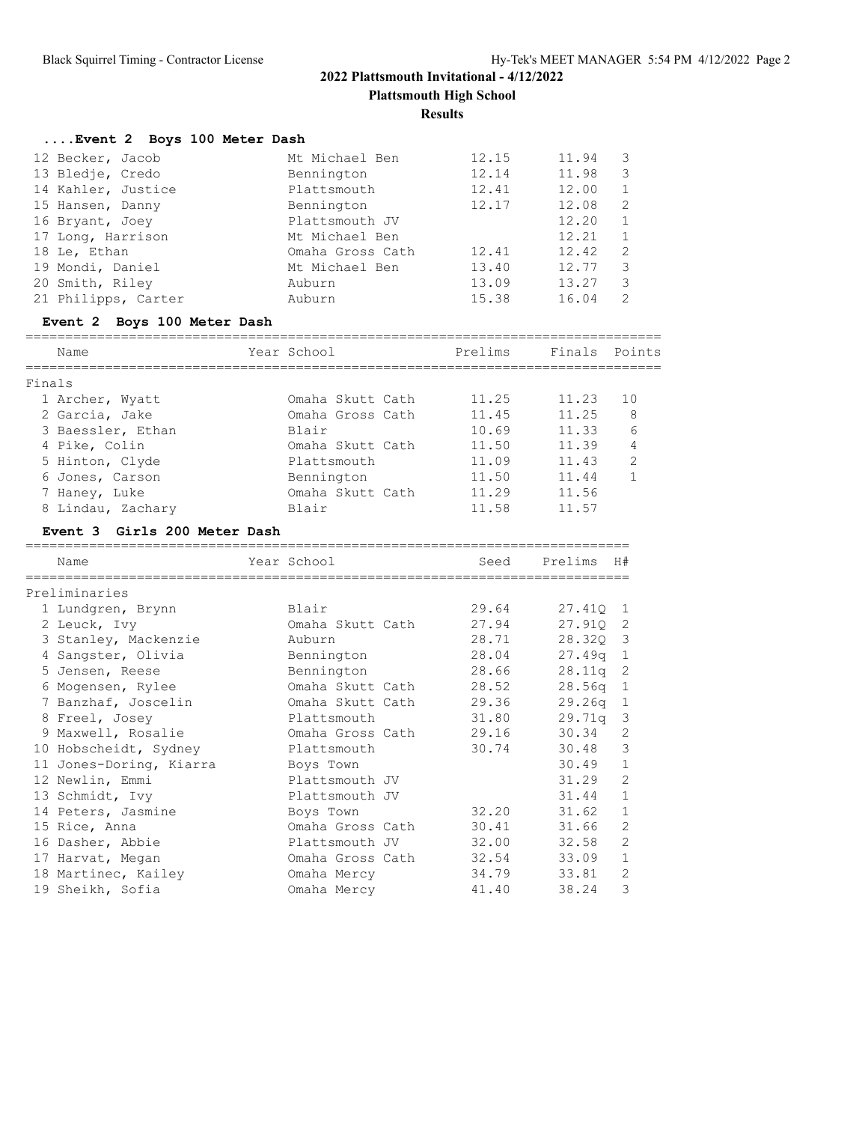**Plattsmouth High School**

**Results**

# **....Event 2 Boys 100 Meter Dash**

| 12 Becker, Jacob    | Mt Michael Ben   | 12.15 | 11.94 | 3            |
|---------------------|------------------|-------|-------|--------------|
| 13 Bledje, Credo    | Bennington       | 12.14 | 11.98 | 3            |
| 14 Kahler, Justice  | Plattsmouth      | 12.41 | 12.00 | 1            |
| 15 Hansen, Danny    | Bennington       | 12.17 | 12.08 | 2            |
| 16 Bryant, Joey     | Plattsmouth JV   |       | 12.20 | $\mathbf{1}$ |
| 17 Long, Harrison   | Mt Michael Ben   |       | 12.21 | $\mathbf{1}$ |
| 18 Le, Ethan        | Omaha Gross Cath | 12.41 | 12.42 | -2           |
| 19 Mondi, Daniel    | Mt Michael Ben   | 13.40 | 12.77 | 3            |
| 20 Smith, Riley     | Auburn           | 13.09 | 13.27 | 3            |
| 21 Philipps, Carter | Auburn           | 15.38 | 16.04 | 2            |

# **Event 2 Boys 100 Meter Dash**

| ___  |                               |           |                                                                                             | ___ |
|------|-------------------------------|-----------|---------------------------------------------------------------------------------------------|-----|
| Name | $ -$<br>YQQY<br>Schoc<br>---- | $\lambda$ | $\overline{\phantom{0}}$<br>$\overline{\phantom{0}}$<br>n <sub>2</sub><br>-<br>، ب<br>----- |     |

| Finals            |                  |       |       |                |
|-------------------|------------------|-------|-------|----------------|
| 1 Archer, Wyatt   | Omaha Skutt Cath | 11.25 | 11.23 | 10             |
| 2 Garcia, Jake    | Omaha Gross Cath | 11.45 | 11.25 | 8              |
| 3 Baessler, Ethan | Blair            | 10.69 | 11.33 | 6              |
| 4 Pike, Colin     | Omaha Skutt Cath | 11.50 | 11.39 | 4              |
| 5 Hinton, Clyde   | Plattsmouth      | 11.09 | 11.43 | $\overline{2}$ |
| 6 Jones, Carson   | Bennington       | 11.50 | 11.44 |                |
| 7 Haney, Luke     | Omaha Skutt Cath | 11.29 | 11.56 |                |
| 8 Lindau, Zachary | Blair            | 11.58 | 11.57 |                |

# **Event 3 Girls 200 Meter Dash**

| Name                    | Year School            | Seed  | Prelims    | H#           |
|-------------------------|------------------------|-------|------------|--------------|
| Preliminaries           |                        |       |            |              |
| 1 Lundgren, Brynn       | Blair                  | 29.64 | 27.410 1   |              |
| 2 Leuck, Ivy            | Omaha Skutt Cath       | 27.94 | 27.910 2   |              |
| 3 Stanley, Mackenzie    | Auburn                 | 28.71 | 28.320 3   |              |
| 4 Sangster, Olivia      | Bennington             | 28.04 | $27.49q$ 1 |              |
| 5 Jensen, Reese         | Bennington             | 28.66 | $28.11q$ 2 |              |
| 6 Mogensen, Rylee       | Omaha Skutt Cath       | 28.52 | $28.56q$ 1 |              |
| 7 Banzhaf, Joscelin     | Omaha Skutt Cath 29.36 |       | $29.26q$ 1 |              |
| 8 Freel, Josey          | Plattsmouth            | 31.80 | $29.71q$ 3 |              |
| 9 Maxwell, Rosalie      | Omaha Gross Cath 29.16 |       | 30.34      | 2            |
| 10 Hobscheidt, Sydney   | Plattsmouth            | 30.74 | $30.48$ 3  |              |
| 11 Jones-Doring, Kiarra | Boys Town              |       | 30.49      | $\mathbf{1}$ |
| 12 Newlin, Emmi         | Plattsmouth JV         |       | 31.29      | 2            |
| 13 Schmidt, Ivy         | Plattsmouth JV         |       | 31.44      | $\mathbf{1}$ |
| 14 Peters, Jasmine      | Boys Town              | 32.20 | 31.62      | $\mathbf{1}$ |
| 15 Rice, Anna           | Omaha Gross Cath       | 30.41 | 31.66      | 2            |
| 16 Dasher, Abbie        | Plattsmouth JV         | 32.00 | 32.58      | 2            |
| 17 Harvat, Megan        | Omaha Gross Cath 32.54 |       | 33.09      | $\mathbf{1}$ |
| 18 Martinec, Kailey     | Omaha Mercy            | 34.79 | 33.81      | $\mathbf{2}$ |
| 19 Sheikh, Sofia        | Omaha Mercy            | 41.40 | 38.24      | 3            |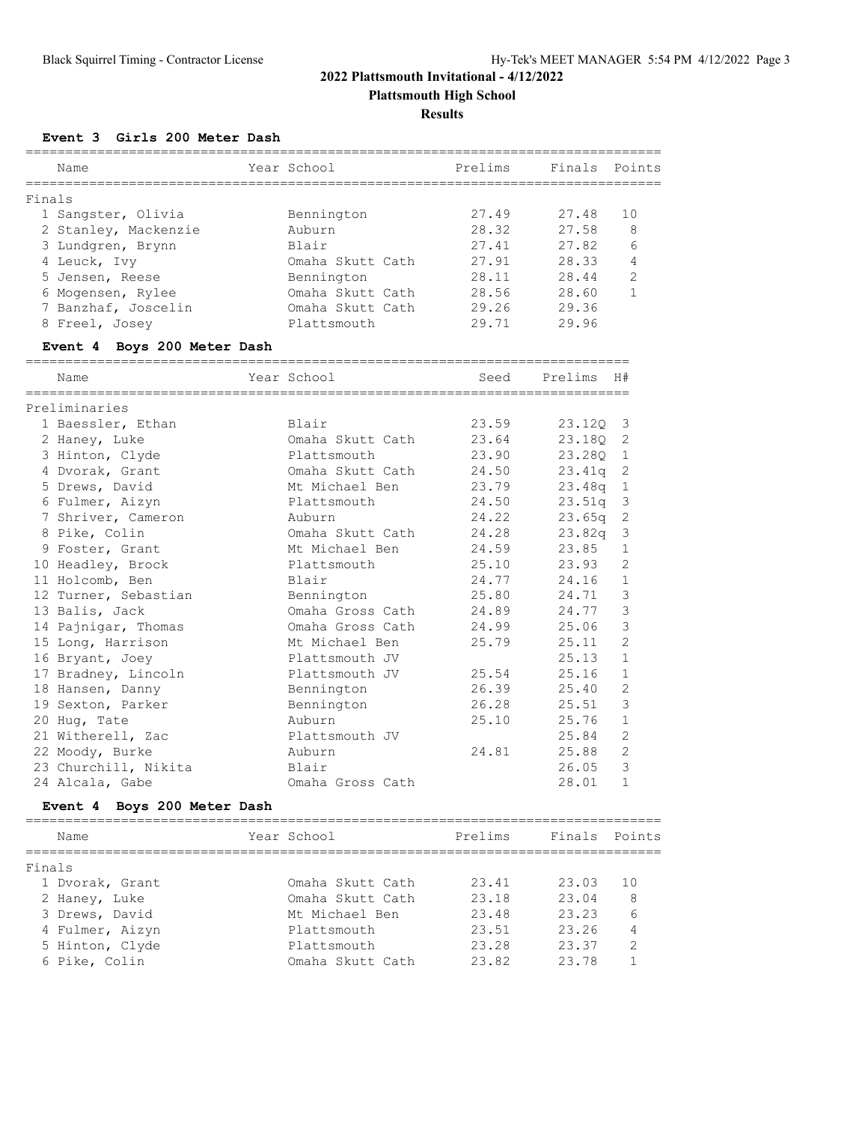**Plattsmouth High School**

**Results**

**Event 3 Girls 200 Meter Dash**

|        | Name                               | Year School      | Prelims | Finals Points |                |
|--------|------------------------------------|------------------|---------|---------------|----------------|
| Finals |                                    |                  |         |               |                |
|        | 1 Sangster, Olivia                 | Bennington       | 27.49   | 27.48         | 10             |
|        | 2 Stanley, Mackenzie               | Auburn           | 28.32   | 27.58         | 8              |
|        | 3 Lundgren, Brynn                  | Blair            | 27.41   | 27.82         | 6              |
|        | 4 Leuck, Ivy                       | Omaha Skutt Cath | 27.91   | 28.33         | 4              |
|        | 5 Jensen, Reese                    | Bennington       | 28.11   | 28.44         | 2              |
|        | 6 Mogensen, Rylee                  | Omaha Skutt Cath | 28.56   | 28.60         | $\mathbf{1}$   |
|        | 7 Banzhaf, Joscelin                | Omaha Skutt Cath | 29.26   | 29.36         |                |
|        | 8 Freel, Josey                     | Plattsmouth      | 29.71   | 29.96         |                |
|        | Event 4 Boys 200 Meter Dash        |                  |         |               |                |
|        | Name                               | Year School      | Seed    | Prelims       | H#             |
|        |                                    |                  |         |               |                |
|        | Preliminaries<br>1 Baessler, Ethan | Blair            | 23.59   | 23.120        | 3              |
|        |                                    | Omaha Skutt Cath | 23.64   |               |                |
|        | 2 Haney, Luke                      | Plattsmouth      | 23.90   | 23.18Q        | 2              |
|        | 3 Hinton, Clyde<br>4 Dvorak, Grant | Omaha Skutt Cath | 24.50   | 23.280        | 1              |
|        |                                    |                  |         | 23.41q        | 2              |
|        | 5 Drews, David                     | Mt Michael Ben   | 23.79   | 23.48q        | 1              |
|        | 6 Fulmer, Aizyn                    | Plattsmouth      | 24.50   | 23.51q        | $\mathsf 3$    |
|        | 7 Shriver, Cameron                 | Auburn           | 24.22   | 23.65q        | $\sqrt{2}$     |
|        | 8 Pike, Colin                      | Omaha Skutt Cath | 24.28   | 23.82q        | 3              |
|        | 9 Foster, Grant                    | Mt Michael Ben   | 24.59   | 23.85         | $\mathbf{1}$   |
|        | 10 Headley, Brock                  | Plattsmouth      | 25.10   | 23.93         | 2              |
|        | 11 Holcomb, Ben                    | Blair            | 24.77   | 24.16         | $\mathbf{1}$   |
|        | 12 Turner, Sebastian               | Bennington       | 25.80   | 24.71         | $\mathcal{S}$  |
|        | 13 Balis, Jack                     | Omaha Gross Cath | 24.89   | 24.77         | $\mathcal{S}$  |
|        | 14 Pajnigar, Thomas                | Omaha Gross Cath | 24.99   | 25.06         | 3              |
|        | 15 Long, Harrison                  | Mt Michael Ben   | 25.79   | 25.11         | 2              |
|        | 16 Bryant, Joey                    | Plattsmouth JV   |         | 25.13         | $\mathbf{1}$   |
|        | 17 Bradney, Lincoln                | Plattsmouth JV   | 25.54   | 25.16         | 1              |
|        | 18 Hansen, Danny                   | Bennington       | 26.39   | 25.40         | 2              |
|        | 19 Sexton, Parker                  | Bennington       | 26.28   | 25.51         | $\mathcal{S}$  |
|        | 20 Hug, Tate                       | Auburn           | 25.10   | 25.76         | $\mathbf{1}$   |
|        | 21 Witherell, Zac                  | Plattsmouth JV   |         | 25.84         | 2              |
|        | 22 Moody, Burke                    | Auburn           | 24.81   | 25.88         | $\overline{c}$ |
|        | 23 Churchill, Nikita               | Blair            |         | 26.05         | 3              |
|        | 24 Alcala, Gabe                    | Omaha Gross Cath |         | 28.01         | $\,1\,$        |
|        | Boys 200 Meter Dash<br>Event 4     |                  |         |               |                |
|        | Name                               | Year School      | Prelims | Finals        | Points         |
| Finals | ----------                         |                  |         |               |                |
|        | 1 Dvorak, Grant                    | Omaha Skutt Cath | 23.41   | 23.03         | 10             |
|        | 2 Haney, Luke                      | Omaha Skutt Cath | 23.18   | 23.04         | 8              |
|        | 3 Drews, David                     | Mt Michael Ben   | 23.48   | 23.23         | 6              |
|        | 4 Fulmer, Aizyn                    | Plattsmouth      | 23.51   | 23.26         | 4              |
|        | 5 Hinton, Clyde                    | Plattsmouth      | 23.28   | 23.37         | 2              |
|        | 6 Pike, Colin                      | Omaha Skutt Cath | 23.82   | 23.78         | 1              |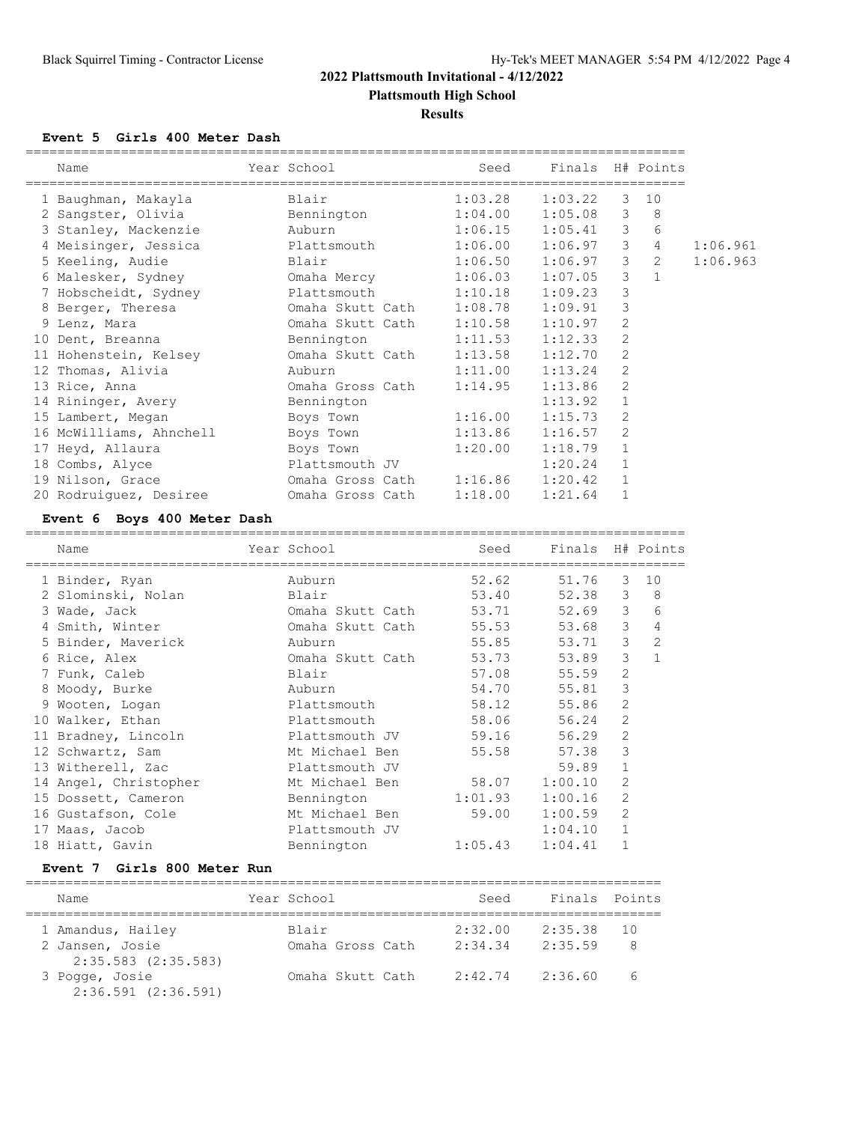# **2022 Plattsmouth Invitational - 4/12/2022 Plattsmouth High School**

#### **Results**

#### **Event 5 Girls 400 Meter Dash**

| Name                                                     | Year School Seed         |         | Finals H# Points         |                |                |          |
|----------------------------------------------------------|--------------------------|---------|--------------------------|----------------|----------------|----------|
| 1 Baughman, Makayla                                      | <b>Blair Blair</b>       |         | $1:03.28$ $1:03.22$ 3 10 |                |                |          |
| 2 Sangster, Olivia and Bennington                        |                          |         | $1:04.00$ $1:05.08$ 3    |                | 8              |          |
| 3 Stanley, Mackenzie auburn                              |                          |         | $1:06.15$ $1:05.41$ 3    |                | 6              |          |
| 4 Meisinger, Jessica and Plattsmouth 1:06.00 1:06.97 3   |                          |         |                          |                | $\overline{4}$ | 1:06.961 |
| 5 Keeling, Audie<br><b>Example 18</b> Blair              |                          | 1:06.50 | $1:06.97$ 3              |                | 2              | 1:06.963 |
| 6 Malesker, Sydney 6 Maha Mercy 1:06.03 1:07.05 3        |                          |         |                          |                |                |          |
| 7 Hobscheidt, Sydney Plattsmouth 1:10.18                 |                          |         | 1:09.23 3                |                |                |          |
| 8 Berger, Theresa                                        | Omaha Skutt Cath 1:08.78 |         | 1:09.91                  | $\mathbf{3}$   |                |          |
| 9 Lenz, Mara                                             | Omaha Skutt Cath 1:10.58 |         | 1:10.97                  | 2              |                |          |
| 10 Dent, Breanna and Bennington 1:11.53                  |                          |         | 1:12.33                  | $\overline{2}$ |                |          |
| 11 Hohenstein, Kelsey 6 0maha Skutt Cath 1:13.58 1:12.70 |                          |         |                          | 2              |                |          |
| 12 Thomas, Alivia and Auburn                             |                          | 1:11.00 | 1:13.24                  | 2              |                |          |
| 13 Rice, Anna                                            | Omaha Gross Cath         | 1:14.95 | 1:13.86                  | $\overline{2}$ |                |          |
| 14 Rininger, Avery Bennington                            |                          |         | 1:13.92                  | $\mathbf{1}$   |                |          |
| 15 Lambert, Megan                                        | Boys Town 1:16.00        |         | 1:15.73                  | $\mathcal{P}$  |                |          |
| 16 McWilliams, Ahnchell                                  | Boys Town 1:13.86        |         | 1:16.57                  | $\overline{2}$ |                |          |
| 17 Heyd, Allaura                                         | Boys Town                | 1:20.00 | 1:18.79                  | $\mathbf{1}$   |                |          |
| 18 Combs, Alyce                                          | Plattsmouth JV           |         | 1:20.24                  | $\mathbf{1}$   |                |          |
| 19 Nilson, Grace 6 0maha Gross Cath 1:16.86 1:20.42      |                          |         |                          | $\mathbf{1}$   |                |          |
| 20 Rodruiquez, Desiree - - - - Omaha Gross Cath          |                          | 1:18.00 | 1:21.64                  | $\mathbf{1}$   |                |          |

#### **Event 6 Boys 400 Meter Dash**

| Name                  | Year School      | Seed    | Finals H# Points |                |                |
|-----------------------|------------------|---------|------------------|----------------|----------------|
| 1 Binder, Ryan        | Auburn           | 52.62   | 51.76            | 3              | 10             |
| 2 Slominski, Nolan    | Blair            | 53.40   | 52.38            | 3              | 8              |
| 3 Wade, Jack          | Omaha Skutt Cath | 53.71   | 52.69            | 3              | 6              |
| 4 Smith, Winter       | Omaha Skutt Cath | 55.53   | 53.68            | 3              | 4              |
| 5 Binder, Maverick    | Auburn           | 55.85   | 53.71            | 3              | $\overline{c}$ |
| 6 Rice, Alex          | Omaha Skutt Cath | 53.73   | 53.89            | 3              | $\mathbf{1}$   |
| 7 Funk, Caleb         | Blair            | 57.08   | 55.59            | $\overline{2}$ |                |
| 8 Moody, Burke        | Auburn           | 54.70   | 55.81            | 3              |                |
| 9 Wooten, Logan       | Plattsmouth      | 58.12   | 55.86            | $\overline{2}$ |                |
| 10 Walker, Ethan      | Plattsmouth      | 58.06   | 56.24            | 2              |                |
| 11 Bradney, Lincoln   | Plattsmouth JV   | 59.16   | 56.29            | $\overline{2}$ |                |
| 12 Schwartz, Sam      | Mt Michael Ben   | 55.58   | 57.38            | 3              |                |
| 13 Witherell, Zac     | Plattsmouth JV   |         | 59.89            | $\mathbf{1}$   |                |
| 14 Angel, Christopher | Mt Michael Ben   | 58.07   | 1:00.10          | $\overline{2}$ |                |
| 15 Dossett, Cameron   | Bennington       | 1:01.93 | 1:00.16          | 2              |                |
| 16 Gustafson, Cole    | Mt Michael Ben   | 59.00   | 1:00.59          | $\overline{2}$ |                |
| 17 Maas, Jacob        | Plattsmouth JV   |         | 1:04.10          | $\mathbf{1}$   |                |
| 18 Hiatt, Gavin       | Bennington       | 1:05.43 | 1:04.41          | 1              |                |

#### **Event 7 Girls 800 Meter Run**

| Name                                       | Year School  |                  | Seed    | Finals Points |     |
|--------------------------------------------|--------------|------------------|---------|---------------|-----|
| 1 Amandus, Hailey                          | <b>Blair</b> |                  | 2:32.00 | 2:35.38       | 1 O |
| 2 Jansen, Josie<br>$2:35.583$ $(2:35.583)$ |              | Omaha Gross Cath | 2:34.34 | 2:35.59       | 8   |
| 3 Pogge, Josie<br>$2:36.591$ $(2:36.591)$  |              | Omaha Skutt Cath | 2:42.74 | 2:36.60       | 6   |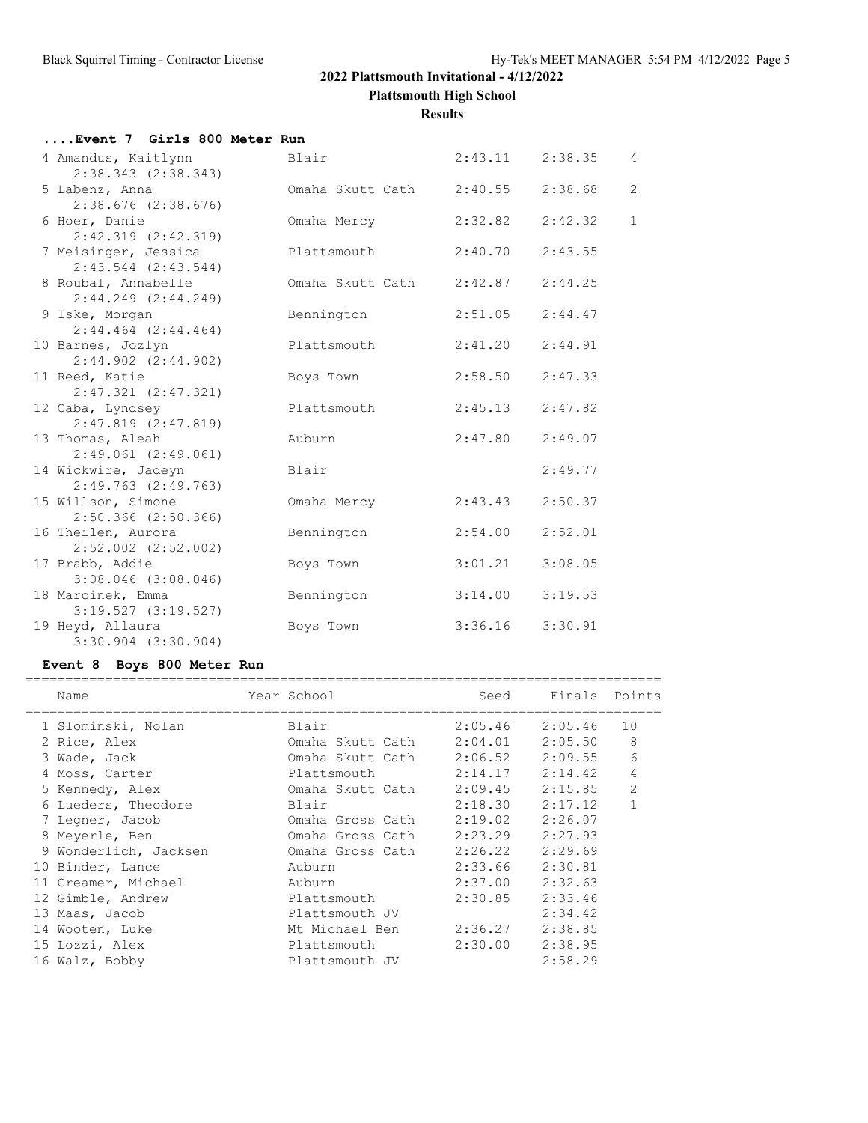**Plattsmouth High School**

**Results**

| Event 7 Girls 800 Meter Run |  |  |  |  |  |  |  |
|-----------------------------|--|--|--|--|--|--|--|
|-----------------------------|--|--|--|--|--|--|--|

| 4 Amandus, Kaitlynn<br>$2:38.343$ $(2:38.343)$  | Blair                    | 2:43.11 | 2:38.35 | 4              |
|-------------------------------------------------|--------------------------|---------|---------|----------------|
| 5 Labenz, Anna<br>$2:38.676$ $(2:38.676)$       | Omaha Skutt Cath 2:40.55 |         | 2:38.68 | $\overline{c}$ |
| 6 Hoer, Danie<br>$2:42.319$ $(2:42.319)$        | Omaha Mercy              | 2:32.82 | 2:42.32 | $\mathbf{1}$   |
| 7 Meisinger, Jessica<br>$2:43.544$ $(2:43.544)$ | Plattsmouth              | 2:40.70 | 2:43.55 |                |
| 8 Roubal, Annabelle<br>$2:44.249$ $(2:44.249)$  | Omaha Skutt Cath         | 2:42.87 | 2:44.25 |                |
| 9 Iske, Morgan<br>$2:44.464$ $(2:44.464)$       | Bennington               | 2:51.05 | 2:44.47 |                |
| 10 Barnes, Jozlyn<br>$2:44.902$ $(2:44.902)$    | Plattsmouth              | 2:41.20 | 2:44.91 |                |
| 11 Reed, Katie<br>$2:47.321$ $(2:47.321)$       | Boys Town                | 2:58.50 | 2:47.33 |                |
| 12 Caba, Lyndsey<br>$2:47.819$ $(2:47.819)$     | Plattsmouth              | 2:45.13 | 2:47.82 |                |
| 13 Thomas, Aleah<br>$2:49.061$ $(2:49.061)$     | Auburn                   | 2:47.80 | 2:49.07 |                |
| 14 Wickwire, Jadeyn<br>$2:49.763$ $(2:49.763)$  | Blair                    |         | 2:49.77 |                |
| 15 Willson, Simone<br>$2:50.366$ $(2:50.366)$   | Omaha Mercy              | 2:43.43 | 2:50.37 |                |
| 16 Theilen, Aurora<br>$2:52.002$ $(2:52.002)$   | Bennington               | 2:54.00 | 2:52.01 |                |
| 17 Brabb, Addie<br>$3:08.046$ $(3:08.046)$      | Boys Town                | 3:01.21 | 3:08.05 |                |
| 18 Marcinek, Emma<br>3:19.527(3:19.527)         | Bennington               | 3:14.00 | 3:19.53 |                |
| 19 Heyd, Allaura<br>$3:30.904$ $(3:30.904)$     | Boys Town                | 3:36.16 | 3:30.91 |                |
|                                                 |                          |         |         |                |

# **Event 8 Boys 800 Meter Run**

| Name |                                                                                                                                                                                                                                                                                                                       |                  | Seed                 |                                                                                                                 |                                                            |
|------|-----------------------------------------------------------------------------------------------------------------------------------------------------------------------------------------------------------------------------------------------------------------------------------------------------------------------|------------------|----------------------|-----------------------------------------------------------------------------------------------------------------|------------------------------------------------------------|
|      |                                                                                                                                                                                                                                                                                                                       |                  | 2:05.46              |                                                                                                                 | 10                                                         |
|      |                                                                                                                                                                                                                                                                                                                       |                  | 2:04.01              | 2:05.50                                                                                                         | 8                                                          |
|      |                                                                                                                                                                                                                                                                                                                       |                  | 2:06.52              |                                                                                                                 | 6                                                          |
|      |                                                                                                                                                                                                                                                                                                                       |                  |                      |                                                                                                                 | 4                                                          |
|      |                                                                                                                                                                                                                                                                                                                       |                  | 2:09.45              | 2:15.85                                                                                                         | $\overline{2}$                                             |
|      |                                                                                                                                                                                                                                                                                                                       | Blair            | 2:18.30              | 2:17.12                                                                                                         | 1                                                          |
|      |                                                                                                                                                                                                                                                                                                                       | Omaha Gross Cath | 2:19.02              | 2:26.07                                                                                                         |                                                            |
|      |                                                                                                                                                                                                                                                                                                                       |                  | 2:23.29              | 2:27.93                                                                                                         |                                                            |
|      |                                                                                                                                                                                                                                                                                                                       |                  | 2:26.22              | 2:29.69                                                                                                         |                                                            |
|      |                                                                                                                                                                                                                                                                                                                       | Auburn           | 2:33.66              | 2:30.81                                                                                                         |                                                            |
|      |                                                                                                                                                                                                                                                                                                                       | Auburn           | 2:37.00              | 2:32.63                                                                                                         |                                                            |
|      |                                                                                                                                                                                                                                                                                                                       | Plattsmouth      | 2:30.85              | 2:33.46                                                                                                         |                                                            |
|      |                                                                                                                                                                                                                                                                                                                       | Plattsmouth JV   |                      | 2:34.42                                                                                                         |                                                            |
|      |                                                                                                                                                                                                                                                                                                                       | Mt Michael Ben   | 2:36.27              | 2:38.85                                                                                                         |                                                            |
|      |                                                                                                                                                                                                                                                                                                                       | Plattsmouth      | 2:30.00              | 2:38.95                                                                                                         |                                                            |
|      |                                                                                                                                                                                                                                                                                                                       | Plattsmouth JV   |                      | 2:58.29                                                                                                         |                                                            |
|      | 1 Slominski, Nolan<br>2 Rice, Alex<br>3 Wade, Jack<br>4 Moss, Carter<br>5 Kennedy, Alex<br>6 Lueders, Theodore<br>7 Legner, Jacob<br>8 Meyerle, Ben<br>9 Wonderlich, Jacksen<br>10 Binder, Lance<br>11 Creamer, Michael<br>12 Gimble, Andrew<br>13 Maas, Jacob<br>14 Wooten, Luke<br>15 Lozzi, Alex<br>16 Walz, Bobby |                  | Year School<br>Blair | Omaha Skutt Cath<br>Omaha Skutt Cath<br>Plattsmouth<br>Omaha Skutt Cath<br>Omaha Gross Cath<br>Omaha Gross Cath | Finals Points<br>2:05.46<br>2:09.55<br>$2:14.17$ $2:14.42$ |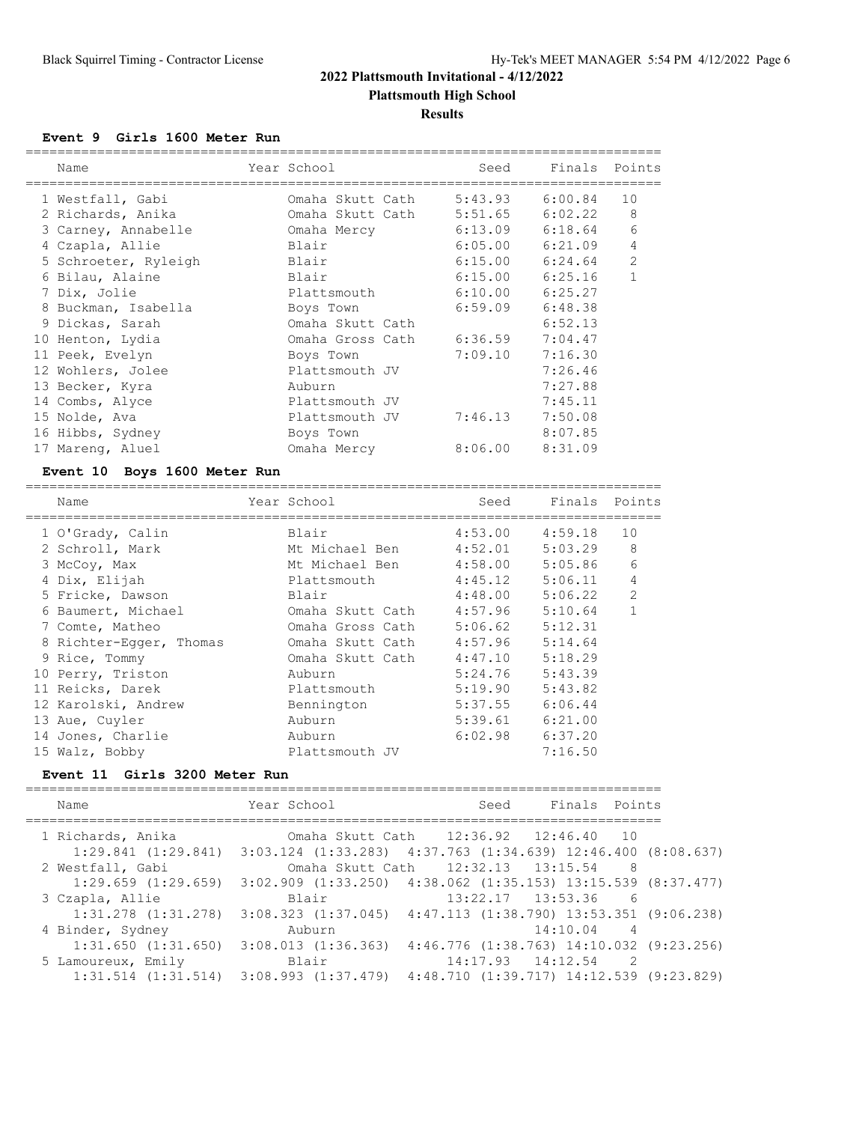# **2022 Plattsmouth Invitational - 4/12/2022 Plattsmouth High School**

#### **Results**

#### **Event 9 Girls 1600 Meter Run**

| Name                 | Year School      | Seed    | Finals Points       |                |
|----------------------|------------------|---------|---------------------|----------------|
| 1 Westfall, Gabi     | Omaha Skutt Cath | 5:43.93 | 6:00.84             | 10             |
| 2 Richards, Anika    | Omaha Skutt Cath | 5:51.65 | 6:02.22             | 8              |
| 3 Carney, Annabelle  | Omaha Mercy      | 6:13.09 | 6:18.64             | 6              |
| 4 Czapla, Allie      | Blair            | 6:05.00 | 6:21.09             | 4              |
| 5 Schroeter, Ryleigh | Blair            |         | $6:15.00$ $6:24.64$ | $\overline{2}$ |
| 6 Bilau, Alaine      | Blair            | 6:15.00 | 6:25.16             |                |
| 7 Dix, Jolie         | Plattsmouth      | 6:10.00 | 6:25.27             |                |
| 8 Buckman, Isabella  | Boys Town        | 6:59.09 | 6:48.38             |                |
| 9 Dickas, Sarah      | Omaha Skutt Cath |         | 6:52.13             |                |
| 10 Henton, Lydia     | Omaha Gross Cath | 6:36.59 | 7:04.47             |                |
| 11 Peek, Evelyn      | Boys Town        | 7:09.10 | 7:16.30             |                |
| 12 Wohlers, Jolee    | Plattsmouth JV   |         | 7:26.46             |                |
| 13 Becker, Kyra      | Auburn           |         | 7:27.88             |                |
| 14 Combs, Alyce      | Plattsmouth JV   |         | 7:45.11             |                |
| 15 Nolde, Ava        | Plattsmouth JV   | 7:46.13 | 7:50.08             |                |
| 16 Hibbs, Sydney     | Boys Town        |         | 8:07.85             |                |
| 17 Mareng, Aluel     | Omaha Mercy      | 8:06.00 | 8:31.09             |                |

#### **Event 10 Boys 1600 Meter Run**

| Name                    | Year School      | Seed    | Finals Points |                |
|-------------------------|------------------|---------|---------------|----------------|
| 1 O'Grady, Calin        | Blair            | 4:53.00 | 4:59.18       | 10             |
| 2 Schroll, Mark         | Mt Michael Ben   | 4:52.01 | 5:03.29       | 8              |
| 3 McCoy, Max            | Mt Michael Ben   | 4:58.00 | 5:05.86       | 6              |
| 4 Dix, Elijah           | Plattsmouth      | 4:45.12 | 5:06.11       | 4              |
| 5 Fricke, Dawson        | Blair            | 4:48.00 | 5:06.22       | $\overline{2}$ |
| 6 Baumert, Michael      | Omaha Skutt Cath | 4:57.96 | 5:10.64       |                |
| 7 Comte, Matheo         | Omaha Gross Cath | 5:06.62 | 5:12.31       |                |
| 8 Richter-Eqger, Thomas | Omaha Skutt Cath | 4:57.96 | 5:14.64       |                |
| 9 Rice, Tommy           | Omaha Skutt Cath | 4:47.10 | 5:18.29       |                |
| 10 Perry, Triston       | Auburn           | 5:24.76 | 5:43.39       |                |
| 11 Reicks, Darek        | Plattsmouth      | 5:19.90 | 5:43.82       |                |
| 12 Karolski, Andrew     | Bennington       | 5:37.55 | 6:06.44       |                |
| 13 Aue, Cuyler          | Auburn           | 5:39.61 | 6:21.00       |                |
| 14 Jones, Charlie       | Auburn           | 6:02.98 | 6:37.20       |                |
| 15 Walz, Bobby          | Plattsmouth JV   |         | 7:16.50       |                |

#### **Event 11 Girls 3200 Meter Run**

| Name                    | Year School                                                              | Seed                                  | Finals Points                            |  |
|-------------------------|--------------------------------------------------------------------------|---------------------------------------|------------------------------------------|--|
| 1 Richards, Anika       |                                                                          | Omaha Skutt Cath 12:36.92 12:46.40 10 |                                          |  |
| $1:29.841$ $(1:29.841)$ | $3:03.124$ $(1:33.283)$ $4:37.763$ $(1:34.639)$ $12:46.400$ $(8:08.637)$ |                                       |                                          |  |
| 2 Westfall, Gabi        |                                                                          | Omaha Skutt Cath 12:32.13 13:15.54 8  |                                          |  |
| $1:29.659$ $(1:29.659)$ | 3:02.909 (1:33.250) 4:38.062 (1:35.153) 13:15.539 (8:37.477)             |                                       |                                          |  |
| 3 Czapla, Allie         | Blair                                                                    |                                       | $13:22.17$ $13:53.36$ 6                  |  |
| $1:31.278$ $(1:31.278)$ | $3:08.323$ $(1:37.045)$ $4:47.113$ $(1:38.790)$ $13:53.351$ $(9:06.238)$ |                                       |                                          |  |
| 4 Binder, Sydney        | Auburn                                                                   |                                       | 14:10.04<br>$\overline{4}$               |  |
| $1:31.650$ $(1:31.650)$ | 3:08.013(1:36.363)                                                       |                                       | 4:46.776 (1:38.763) 14:10.032 (9:23.256) |  |
| 5 Lamoureux, Emily      | Blair                                                                    |                                       | $14:17.93$ $14:12.54$<br>$\sim$ 2        |  |
| $1:31.514$ $(1:31.514)$ | $3:08.993$ $(1:37.479)$ $4:48.710$ $(1:39.717)$ $14:12.539$ $(9:23.829)$ |                                       |                                          |  |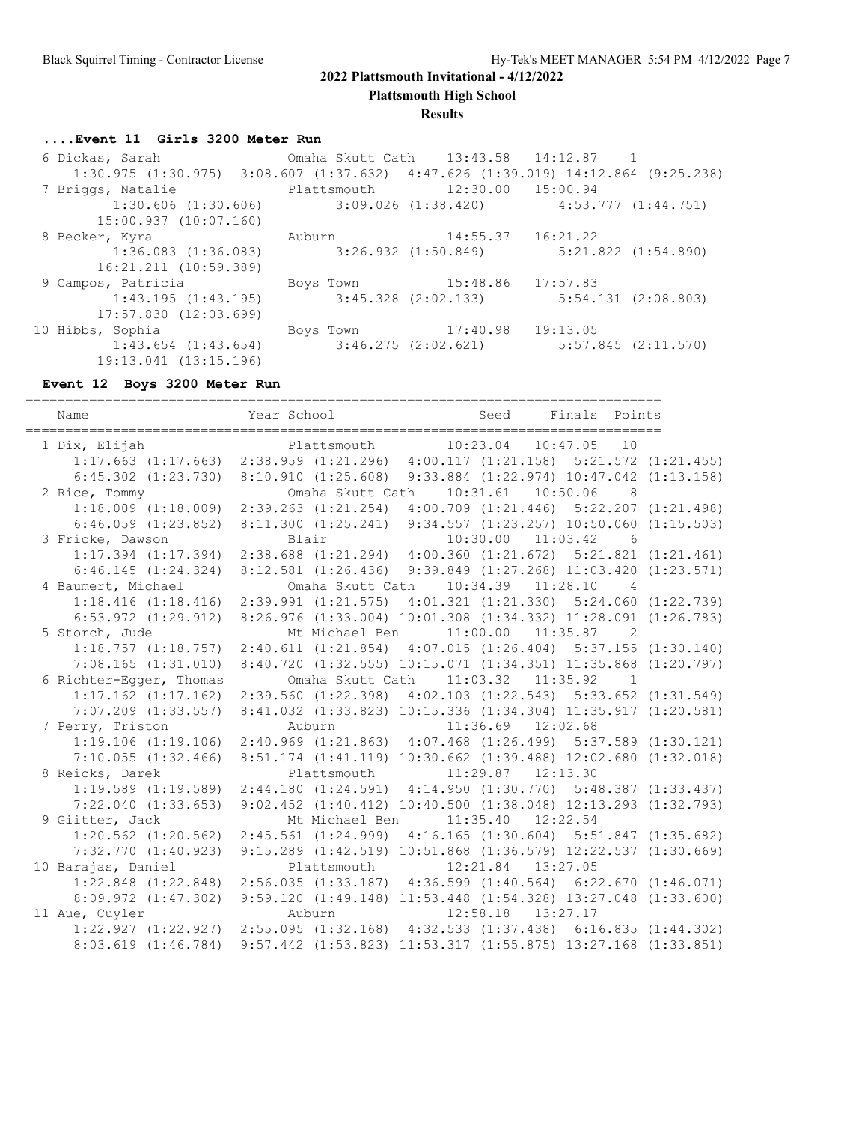**Plattsmouth High School**

#### **Results**

# **....Event 11 Girls 3200 Meter Run**

| 6 Dickas, Sarah               Omaha Skutt Cath   13:43.58   14:12.87   1                         |  |                             |  |
|--------------------------------------------------------------------------------------------------|--|-----------------------------|--|
| $1:30.975$ $(1:30.975)$ $3:08.607$ $(1:37.632)$ $4:47.626$ $(1:39.019)$ $14:12.864$ $(9:25.238)$ |  |                             |  |
| 7 Briggs, Natalie 3 and Plattsmouth 12:30.00 15:00.94                                            |  |                             |  |
| $1:30.606$ (1:30.606) $3:09.026$ (1:38.420) $4:53.777$ (1:44.751)                                |  |                             |  |
| 15:00.937(10:07.160)                                                                             |  |                             |  |
| 8 Becker, Kyra                                                                                   |  | Auburn 14:55.37 16:21.22    |  |
| $1:36.083$ (1:36.083) $3:26.932$ (1:50.849) $5:21.822$ (1:54.890)                                |  |                             |  |
| 16:21.211 (10:59.389)                                                                            |  |                             |  |
| 9 Campos, Patricia                                                                               |  | Boys Town 15:48.86 17:57.83 |  |
| $1:43.195$ (1:43.195) $3:45.328$ (2:02.133) $5:54.131$ (2:08.803)                                |  |                             |  |
| $17:57.830$ $(12:03.699)$                                                                        |  |                             |  |
| 10 Hibbs, Sophia                                                                                 |  | Boys Town 17:40.98 19:13.05 |  |
| $1:43.654$ (1:43.654) $3:46.275$ (2:02.621) $5:57.845$ (2:11.570)                                |  |                             |  |
| 19:13.041 (13:15.196)                                                                            |  |                             |  |

# **Event 12 Boys 3200 Meter Run**

| Name                    |                                                                                   | Year School                           Seed     Finals   Points            |                         |                |  |
|-------------------------|-----------------------------------------------------------------------------------|---------------------------------------------------------------------------|-------------------------|----------------|--|
| 1 Dix, Elijah           |                                                                                   |                                                                           |                         |                |  |
|                         | 1:17.663 (1:17.663) 2:38.959 (1:21.296) 4:00.117 (1:21.158) 5:21.572 (1:21.455)   |                                                                           |                         |                |  |
|                         | 6:45.302 (1:23.730) 8:10.910 (1:25.608) 9:33.884 (1:22.974) 10:47.042 (1:13.158)  |                                                                           |                         |                |  |
| 2 Rice, Tommy           |                                                                                   | Omaha Skutt Cath                                                          | 10:31.61  10:50.06      | $\overline{8}$ |  |
|                         | 1:18.009(1:18.009)                                                                | 2:39.263 (1:21.254) 4:00.709 (1:21.446) 5:22.207 (1:21.498)               |                         |                |  |
|                         | $6:46.059$ $(1:23.852)$                                                           | 8:11.300 (1:25.241) 9:34.557 (1:23.257) 10:50.060 (1:15.503)              |                         |                |  |
| 3 Fricke, Dawson        |                                                                                   | Blair                                                                     | 10:30.00 11:03.42 6     |                |  |
|                         | $1:17.394$ $(1:17.394)$                                                           | $2:38.688$ $(1:21.294)$ $4:00.360$ $(1:21.672)$ $5:21.821$ $(1:21.461)$   |                         |                |  |
|                         | 6:46.145(1:24.324)                                                                | 8:12.581 (1:26.436) 9:39.849 (1:27.268) 11:03.420 (1:23.571)              |                         |                |  |
| 4 Baumert, Michael      |                                                                                   | Omaha Skutt Cath 10:34.39 11:28.10                                        |                         | $\overline{4}$ |  |
|                         | 1:18.416 (1:18.416) 2:39.991 (1:21.575) 4:01.321 (1:21.330) 5:24.060 (1:22.739)   |                                                                           |                         |                |  |
|                         | 6:53.972 (1:29.912) 8:26.976 (1:33.004) 10:01.308 (1:34.332) 11:28.091 (1:26.783) |                                                                           |                         |                |  |
| 5 Storch, Jude          |                                                                                   | Mt Michael Ben                                                            | $11:00.00$ $11:35.87$ 2 |                |  |
|                         | $1:18.757$ $(1:18.757)$                                                           | $2:40.611$ (1:21.854) $4:07.015$ (1:26.404) 5:37.155 (1:30.140)           |                         |                |  |
|                         | $7:08.165$ $(1:31.010)$                                                           | 8:40.720 (1:32.555) 10:15.071 (1:34.351) 11:35.868 (1:20.797)             |                         |                |  |
| 6 Richter-Egger, Thomas |                                                                                   | Omaha Skutt Cath                                                          | $11:03.32$ $11:35.92$   | $\overline{1}$ |  |
|                         | $1:17.162$ $(1:17.162)$                                                           | 2:39.560 (1:22.398) 4:02.103 (1:22.543) 5:33.652 (1:31.549)               |                         |                |  |
|                         | $7:07.209$ $(1:33.557)$                                                           | 8:41.032 (1:33.823) 10:15.336 (1:34.304) 11:35.917 (1:20.581)             |                         |                |  |
| 7 Perry, Triston        |                                                                                   | Auburn                                                                    | $11:36.69$ $12:02.68$   |                |  |
|                         | 1:19.106(1:19.106)                                                                | 2:40.969 (1:21.863) 4:07.468 (1:26.499) 5:37.589 (1:30.121)               |                         |                |  |
|                         | $7:10.055$ $(1:32.466)$                                                           | 8:51.174 (1:41.119) 10:30.662 (1:39.488) 12:02.680 (1:32.018)             |                         |                |  |
| 8 Reicks, Darek         |                                                                                   | Plattsmouth                                                               | $11:29.87$ $12:13.30$   |                |  |
|                         | $1:19.589$ $(1:19.589)$                                                           | 2:44.180 (1:24.591) 4:14.950 (1:30.770) 5:48.387 (1:33.437)               |                         |                |  |
|                         | $7:22.040$ $(1:33.653)$                                                           | $9:02.452$ $(1:40.412)$ $10:40.500$ $(1:38.048)$ $12:13.293$ $(1:32.793)$ |                         |                |  |
| 9 Giitter, Jack         |                                                                                   | Mt Michael Ben                                                            | $11:35.40$ $12:22.54$   |                |  |
|                         | $1:20.562$ $(1:20.562)$                                                           | 2:45.561 (1:24.999) 4:16.165 (1:30.604) 5:51.847 (1:35.682)               |                         |                |  |
|                         | $7:32.770$ $(1:40.923)$                                                           | 9:15.289 (1:42.519) 10:51.868 (1:36.579) 12:22.537 (1:30.669)             |                         |                |  |
| 10 Barajas, Daniel      |                                                                                   | Plattsmouth                                                               | $12:21.84$ $13:27.05$   |                |  |
|                         | 1:22.848 (1:22.848) 2:56.035 (1:33.187) 4:36.599 (1:40.564) 6:22.670 (1:46.071)   |                                                                           |                         |                |  |
|                         | 8:09.972(1:47.302)                                                                | 9:59.120 (1:49.148) 11:53.448 (1:54.328) 13:27.048 (1:33.600)             |                         |                |  |
| 11 Aue, Cuyler          |                                                                                   | Auburn                                                                    | 12:58.18  13:27.17      |                |  |
|                         | 1:22.927 (1:22.927) 2:55.095 (1:32.168) 4:32.533 (1:37.438) 6:16.835 (1:44.302)   |                                                                           |                         |                |  |
|                         | $8:03.619$ $(1:46.784)$                                                           | $9:57.442$ (1:53.823) 11:53.317 (1:55.875) 13:27.168 (1:33.851)           |                         |                |  |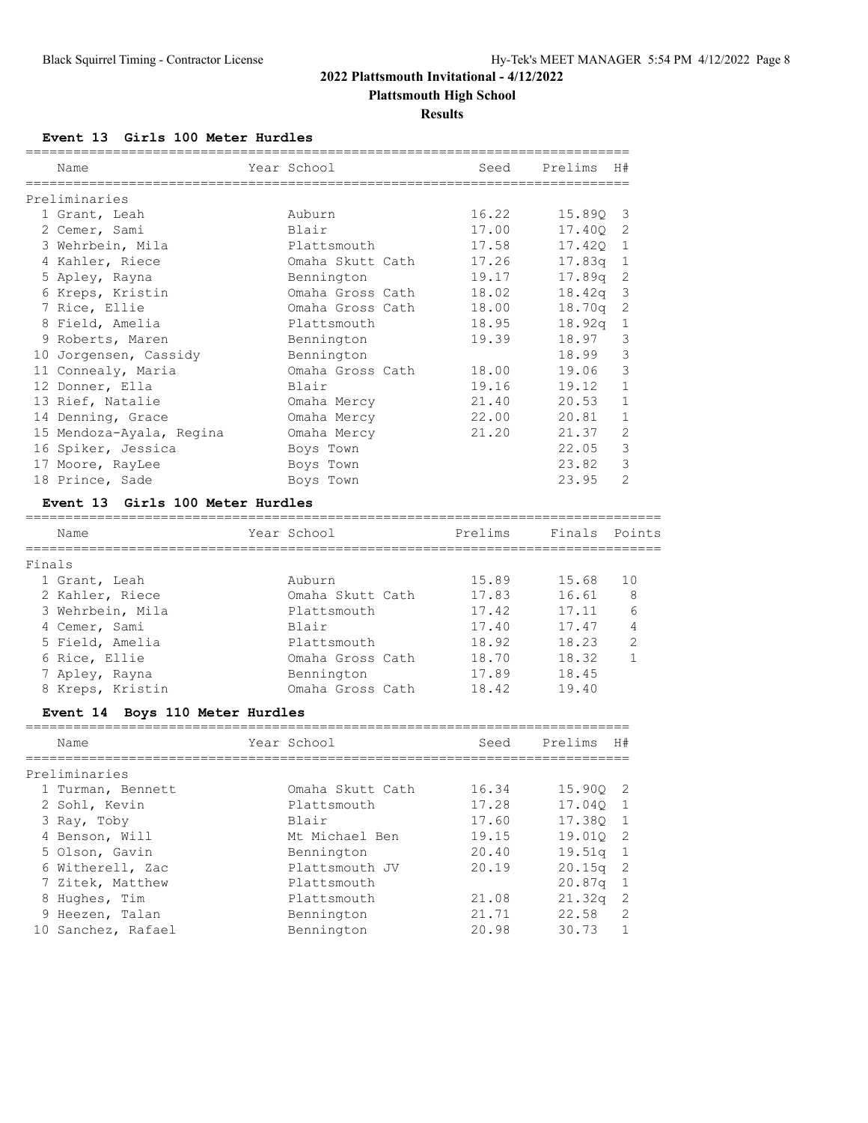#### **Plattsmouth High School**

**Results**

#### **Event 13 Girls 100 Meter Hurdles**

|        | Name                                      | Year School      | Seed    | Prelims            | H#                  |
|--------|-------------------------------------------|------------------|---------|--------------------|---------------------|
|        |                                           |                  |         |                    |                     |
|        | Preliminaries                             |                  |         |                    |                     |
|        | 1 Grant, Leah                             | Auburn<br>Blair  | 16.22   | 15.89Q             | 3                   |
|        | 2 Cemer, Sami                             |                  | 17.00   | 17.40Q             | 2                   |
|        | 3 Wehrbein, Mila                          | Plattsmouth      | 17.58   | 17.420             | 1                   |
|        | 4 Kahler, Riece                           | Omaha Skutt Cath | 17.26   | 17.83q             | 1                   |
|        | 5 Apley, Rayna                            | Bennington       | 19.17   | 17.89g             | 2                   |
|        | 6 Kreps, Kristin                          | Omaha Gross Cath | 18.02   | 18.42q             | 3                   |
|        | 7 Rice, Ellie                             | Omaha Gross Cath | 18.00   | 18.70 <sub>q</sub> | $\overline{2}$      |
|        | 8 Field, Amelia                           | Plattsmouth      | 18.95   | 18.92q             | $\mathbf{1}$        |
|        | 9 Roberts, Maren                          | Bennington       | 19.39   | 18.97              | 3                   |
|        | 10 Jorgensen, Cassidy                     | Bennington       |         | 18.99              | 3                   |
|        | 11 Connealy, Maria                        | Omaha Gross Cath | 18.00   | 19.06              | 3                   |
|        | 12 Donner, Ella                           | Blair            | 19.16   | 19.12              | $\mathbf 1$         |
|        | 13 Rief, Natalie                          | Omaha Mercy      | 21.40   | 20.53              | $\mathbf{1}$        |
|        | 14 Denning, Grace                         | Omaha Mercy      | 22.00   | 20.81              | $\mathbf{1}$        |
|        | 15 Mendoza-Ayala, Regina                  | Omaha Mercy      | 21.20   | 21.37              | $\mathfrak{D}$      |
|        | 16 Spiker, Jessica                        | Boys Town        |         | 22.05              | 3                   |
|        | 17 Moore, RayLee                          | Boys Town        |         | 23.82              | 3                   |
|        | 18 Prince, Sade                           | Boys Town        |         | 23.95              | $\mathfrak{D}$      |
|        | Event 13 Girls 100 Meter Hurdles          |                  |         |                    |                     |
|        | Name                                      | Year School      | Prelims | Finals             | Points              |
|        |                                           |                  |         |                    |                     |
| Finals |                                           | Auburn           | 15.89   | 15.68              | 10                  |
|        | 1 Grant, Leah<br>2 Kahler, Riece          | Omaha Skutt Cath | 17.83   | 16.61              | 8                   |
|        |                                           |                  |         |                    | 6                   |
|        | 3 Wehrbein, Mila                          | Plattsmouth      | 17.42   | 17.11              | 4                   |
|        | 4 Cemer, Sami                             | Blair            | 17.40   | 17.47              |                     |
|        | 5 Field, Amelia                           | Plattsmouth      | 18.92   | 18.23              | $\overline{2}$<br>1 |
|        | 6 Rice, Ellie                             | Omaha Gross Cath | 18.70   | 18.32              |                     |
|        | 7 Apley, Rayna                            | Bennington       | 17.89   | 18.45              |                     |
|        | 8 Kreps, Kristin                          | Omaha Gross Cath | 18.42   | 19.40              |                     |
|        | Boys 110 Meter Hurdles<br><b>Event 14</b> |                  |         |                    |                     |
|        | Name                                      | Year School      | Seed    | Prelims            | H#                  |
|        | __________________<br>Preliminaries       | ===============  |         |                    |                     |
|        | 1 Turman, Bennett                         | Omaha Skutt Cath | 16.34   | 15.90Q             | $\mathbf{2}$        |
|        | 2 Sohl, Kevin                             | Plattsmouth      | 17.28   | 17.04Q             | 1                   |
|        | 3 Ray, Toby                               | Blair            | 17.60   | 17.38Q             | 1                   |
|        | 4 Benson, Will                            | Mt Michael Ben   | 19.15   | 19.01Q             | 2                   |
|        | 5 Olson, Gavin                            | Bennington       | 20.40   | 19.51q             | $\mathbf{1}$        |
|        | 6 Witherell, Zac                          | Plattsmouth JV   | 20.19   | 20.15q             | $\sqrt{2}$          |
|        | 7 Zitek, Matthew                          | Plattsmouth      |         | 20.87q             | 1                   |
|        | 8 Hughes, Tim                             | Plattsmouth      | 21.08   | 21.32q             | $\mathbf{2}$        |
|        | 9 Heezen, Talan                           | Bennington       | 21.71   | 22.58              | 2                   |
|        |                                           |                  |         |                    |                     |
|        | 10 Sanchez, Rafael                        | Bennington       | 20.98   | 30.73              | $\mathbf{1}$        |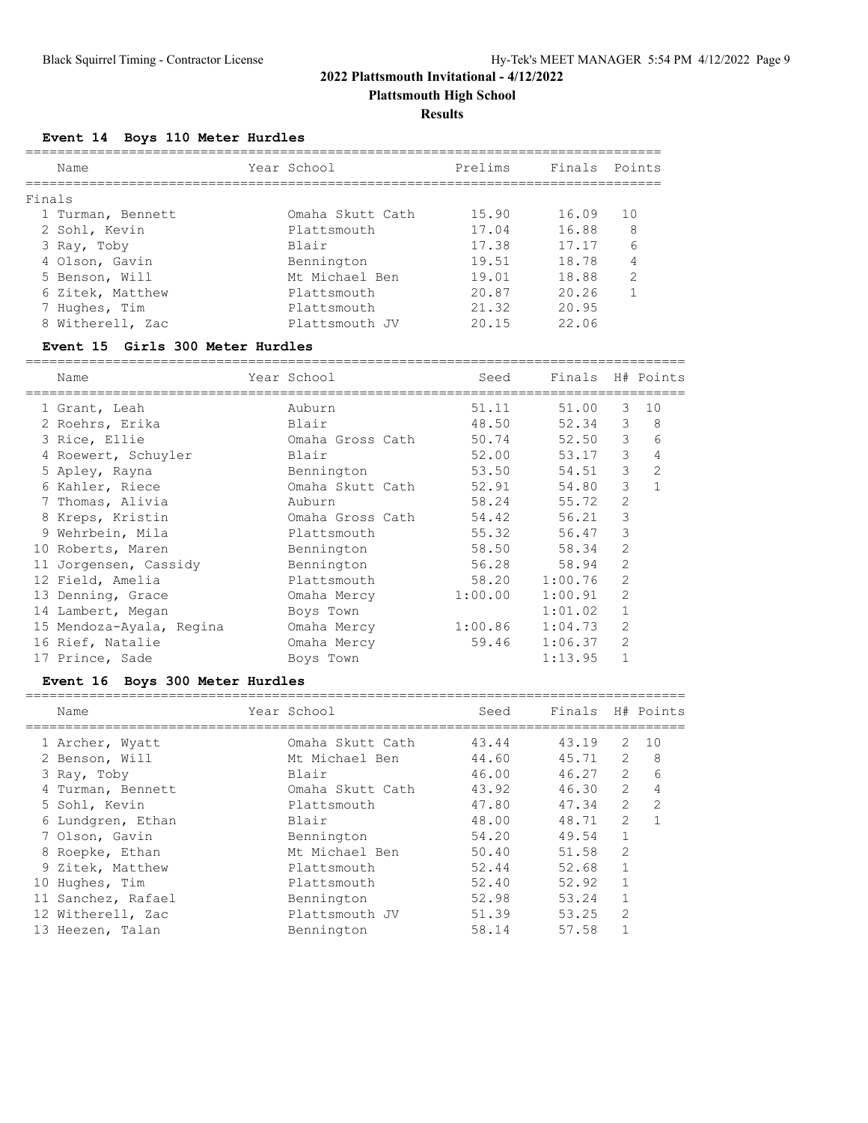**Plattsmouth High School**

#### **Results**

# **Event 14 Boys 110 Meter Hurdles**

|        | Name              | Year School      | Prelims | Finals Points |                |
|--------|-------------------|------------------|---------|---------------|----------------|
| Finals |                   |                  |         |               |                |
|        | 1 Turman, Bennett | Omaha Skutt Cath | 15.90   | 16.09         | 10             |
|        | 2 Sohl, Kevin     | Plattsmouth      | 17.04   | 16.88         | 8              |
|        | 3 Ray, Toby       | <b>Blair</b>     | 17.38   | 17.17         | 6              |
|        | 4 Olson, Gavin    | Bennington       | 19.51   | 18.78         | 4              |
|        | 5 Benson, Will    | Mt. Michael Ben  | 19.01   | 18.88         | $\mathfrak{D}$ |
|        | 6 Zitek, Matthew  | Plattsmouth      | 20.87   | 20.26         |                |
|        | 7 Hughes, Tim     | Plattsmouth      | 21.32   | 20.95         |                |
|        | 8 Witherell, Zac  | Plattsmouth JV   | 20.15   | 22.06         |                |
|        |                   |                  |         |               |                |

#### **Event 15 Girls 300 Meter Hurdles**

| Name |                                                                                                                                                                                                                                                                                                                                                          |         |                  |                |                         |
|------|----------------------------------------------------------------------------------------------------------------------------------------------------------------------------------------------------------------------------------------------------------------------------------------------------------------------------------------------------------|---------|------------------|----------------|-------------------------|
|      | Year School                                                                                                                                                                                                                                                                                                                                              | Seed    | Finals H# Points |                |                         |
|      | Auburn                                                                                                                                                                                                                                                                                                                                                   | 51.11   | 51.00            | 3              | 10                      |
|      | Blair                                                                                                                                                                                                                                                                                                                                                    | 48.50   |                  | 3              | 8                       |
|      | Omaha Gross Cath                                                                                                                                                                                                                                                                                                                                         | 50.74   |                  | 3              | 6                       |
|      | Blair                                                                                                                                                                                                                                                                                                                                                    | 52.00   | 53.17            | 3              | 4                       |
|      | Bennington                                                                                                                                                                                                                                                                                                                                               | 53.50   |                  | 3              | $\overline{2}$          |
|      | Omaha Skutt Cath                                                                                                                                                                                                                                                                                                                                         | 52.91   | 54.80            | 3              | $\mathbf{1}$            |
|      | Auburn                                                                                                                                                                                                                                                                                                                                                   |         | 55.72            | 2              |                         |
|      | Omaha Gross Cath                                                                                                                                                                                                                                                                                                                                         | 54.42   | 56.21            | 3              |                         |
|      | Plattsmouth                                                                                                                                                                                                                                                                                                                                              | 55.32   | 56.47            | 3              |                         |
|      | Bennington                                                                                                                                                                                                                                                                                                                                               | 58.50   | 58.34            | $\overline{2}$ |                         |
|      | Bennington                                                                                                                                                                                                                                                                                                                                               |         | 58.94            | 2              |                         |
|      | Plattsmouth                                                                                                                                                                                                                                                                                                                                              | 58.20   | 1:00.76          | $\overline{2}$ |                         |
|      | Omaha Mercy                                                                                                                                                                                                                                                                                                                                              | 1:00.00 | 1:00.91          | $\overline{2}$ |                         |
|      | Boys Town                                                                                                                                                                                                                                                                                                                                                |         | 1:01.02          | 1              |                         |
|      | Omaha Mercy                                                                                                                                                                                                                                                                                                                                              | 1:00.86 | 1:04.73          | 2              |                         |
|      | Omaha Mercy                                                                                                                                                                                                                                                                                                                                              | 59.46   | 1:06.37          | $\overline{2}$ |                         |
|      | Boys Town                                                                                                                                                                                                                                                                                                                                                |         | 1:13.95          | 1              |                         |
|      | 1 Grant, Leah<br>2 Roehrs, Erika<br>3 Rice, Ellie<br>4 Roewert, Schuyler<br>5 Apley, Rayna<br>6 Kahler, Riece<br>7 Thomas, Alivia<br>8 Kreps, Kristin<br>9 Wehrbein, Mila<br>10 Roberts, Maren<br>11 Jorgensen, Cassidy<br>12 Field, Amelia<br>13 Denning, Grace<br>14 Lambert, Megan<br>15 Mendoza-Ayala, Regina<br>16 Rief, Natalie<br>17 Prince, Sade |         |                  | 58.24<br>56.28 | 52.34<br>52.50<br>54.51 |

# **Event 16 Boys 300 Meter Hurdles**

| Name               | Year School      | Seed  | Finals |                | H# Points      |
|--------------------|------------------|-------|--------|----------------|----------------|
| 1 Archer, Wyatt    | Omaha Skutt Cath | 43.44 | 43.19  | 2              | 10             |
| 2 Benson, Will     | Mt Michael Ben   | 44.60 | 45.71  | 2              | 8              |
| 3 Ray, Toby        | Blair            | 46.00 | 46.27  | 2              | 6              |
| 4 Turman, Bennett  | Omaha Skutt Cath | 43.92 | 46.30  | $\overline{2}$ | 4              |
| 5 Sohl, Kevin      | Plattsmouth      | 47.80 | 47.34  | $\overline{2}$ | $\overline{2}$ |
| 6 Lundgren, Ethan  | Blair            | 48.00 | 48.71  | 2              |                |
| 7 Olson, Gavin     | Bennington       | 54.20 | 49.54  |                |                |
| 8 Roepke, Ethan    | Mt Michael Ben   | 50.40 | 51.58  | $\mathfrak{D}$ |                |
| 9 Zitek, Matthew   | Plattsmouth      | 52.44 | 52.68  |                |                |
| Hughes, Tim<br>10  | Plattsmouth      | 52.40 | 52.92  |                |                |
| 11 Sanchez, Rafael | Bennington       | 52.98 | 53.24  |                |                |
| 12 Witherell, Zac  | Plattsmouth JV   | 51.39 | 53.25  | $\overline{2}$ |                |
| 13 Heezen, Talan   | Bennington       | 58.14 | 57.58  |                |                |
|                    |                  |       |        |                |                |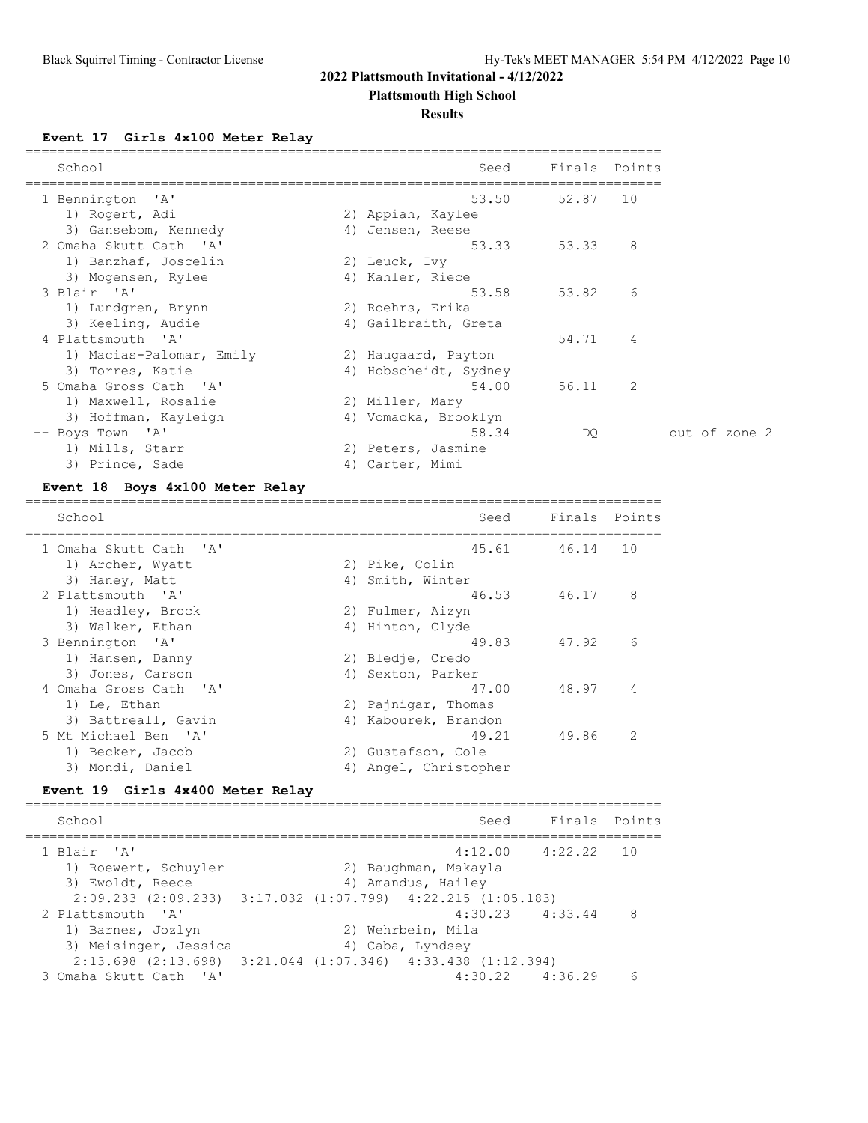**Plattsmouth High School**

#### **Results**

**Event 17 Girls 4x100 Meter Relay**

| School                   | Seed                  | Finals Points |                |
|--------------------------|-----------------------|---------------|----------------|
| 1 Bennington 'A'         | 53.50                 | 52.87         | 10             |
| 1) Rogert, Adi           | 2) Appiah, Kaylee     |               |                |
| 3) Gansebom, Kennedy     | 4) Jensen, Reese      |               |                |
| 2 Omaha Skutt Cath 'A'   |                       | 53.33 53.33   | 8 <sup>8</sup> |
| 1) Banzhaf, Joscelin     | 2) Leuck, Ivy         |               |                |
| 3) Mogensen, Rylee       | 4) Kahler, Riece      |               |                |
| 3 Blair 'A'              | 53.58                 | 53.82         | 6              |
| 1) Lundgren, Brynn       | 2) Roehrs, Erika      |               |                |
| 3) Keeling, Audie        | 4) Gailbraith, Greta  |               |                |
| 4 Plattsmouth 'A'        |                       | 54.71         | $\overline{4}$ |
| 1) Macias-Palomar, Emily | 2) Haugaard, Payton   |               |                |
| 3) Torres, Katie         | 4) Hobscheidt, Sydney |               |                |
| 5 Omaha Gross Cath 'A'   | 54.00                 | 56.11 2       |                |
| 1) Maxwell, Rosalie      | 2) Miller, Mary       |               |                |
| 3) Hoffman, Kayleigh     | 4) Vomacka, Brooklyn  |               |                |
| -- Boys Town 'A'         | 58.34                 | DO.           |                |
| 1) Mills, Starr          | 2) Peters, Jasmine    |               |                |
| 3) Prince, Sade          | 4) Carter, Mimi       |               |                |

#### **Event 18 Boys 4x100 Meter Relay**

================================================================================ School School Seed Finals Points ================================================================================ 1 Omaha Skutt Cath 'A' 45.61 46.14 10<br>1) Archer, Wyatt 2) Pike, Colin 1) Archer, Wyatt 2) Pike, Colin 3) Haney, Matt (4) Smith, Winter 2 Plattsmouth 'A' 46.53 46.17 8 1) Headley, Brock 2) Fulmer, Aizyn 3) Walker, Ethan 1988 (4) Hinton, Clyde 3 Bennington 'A' 49.83 47.92 6 1) Hansen, Danny 2) Bledje, Credo 3) Jones, Carson (4) Sexton, Parker 4 Omaha Gross Cath 'A' 47.00 48.97 4 1) Le, Ethan 2) Pajnigar, Thomas 3) Battreall, Gavin (4) Kabourek, Brandon 5 Mt Michael Ben 'A' 49.21 49.86 2 1) Becker, Jacob 2) Gustafson, Cole 3) Mondi, Daniel 4) Angel, Christopher

#### **Event 19 Girls 4x400 Meter Relay**

================================================================================ School Seed Finals Points ================================================================================ 1 Blair 'A' 4:12.00 4:22.22 10 1) Roewert, Schuyler 2) Baughman, Makayla 3) Ewoldt, Reece and Amandus, Hailey 2:09.233 (2:09.233) 3:17.032 (1:07.799) 4:22.215 (1:05.183)<br>2 Plattsmouth 'A' 4:30.23 4:33.44 8 2 Plattsmouth 'A' 4:30.23 4:33.44 8 1) Barnes, Jozlyn 2) Wehrbein, Mila 3) Meisinger, Jessica (4) Caba, Lyndsey 2:13.698 (2:13.698) 3:21.044 (1:07.346) 4:33.438 (1:12.394) 3 Omaha Skutt Cath 'A' 4:30.22 4:36.29 6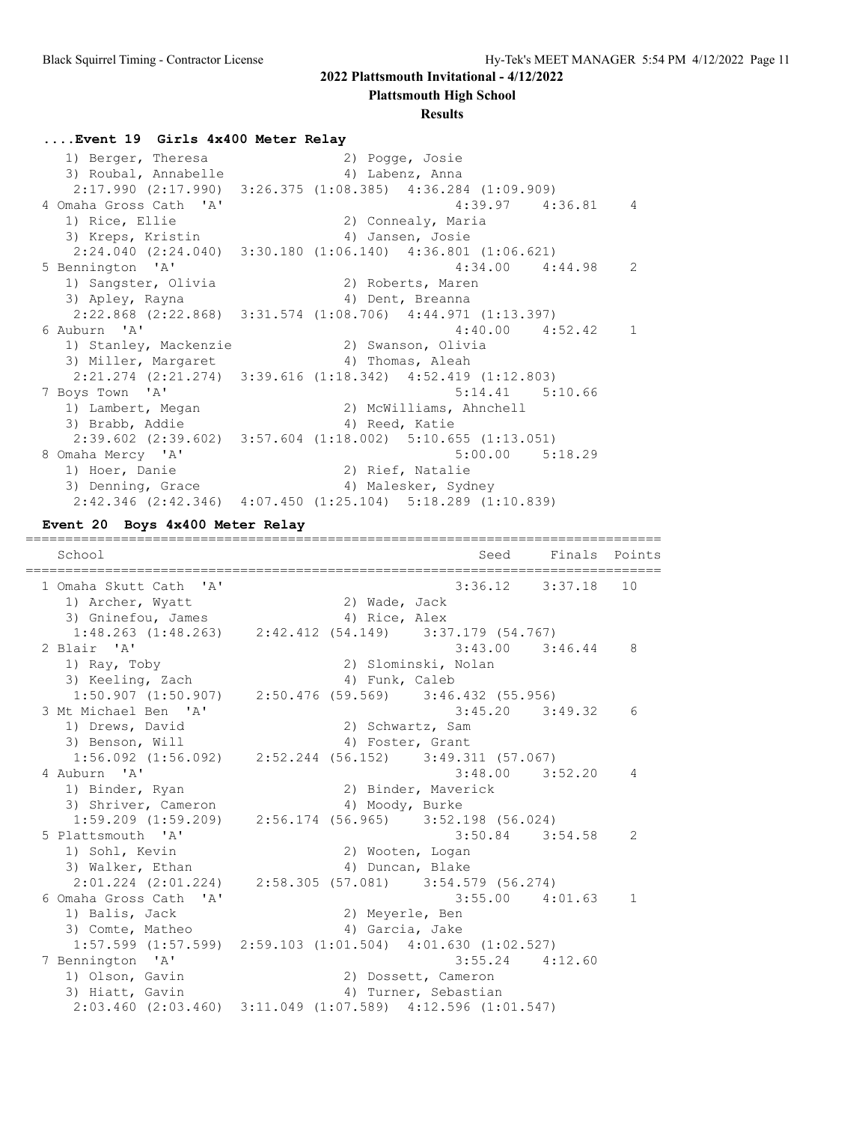**Plattsmouth High School**

#### **Results**

#### **....Event 19 Girls 4x400 Meter Relay**

 1) Berger, Theresa 2) Pogge, Josie 3) Roubal, Annabelle (4) Labenz, Anna 2:17.990 (2:17.990) 3:26.375 (1:08.385) 4:36.284 (1:09.909) 4 Omaha Gross Cath 'A' 4:39.97 4:36.81 4<br>1) Rice, Ellie 2) Connealy, Maria<br>3) Kreps, Kristin 4) Jansen, Josie 1) Rice, Ellie 2) Connealy, Maria 3) Kreps, Kristin 4) Jansen, Josie 2:24.040 (2:24.040) 3:30.180 (1:06.140) 4:36.801 (1:06.621) 5 Bennington 'A' 4:34.00 4:44.98 2 1) Sangster, Olivia 2) Roberts, Maren 3) Apley, Rayna (4) Dent, Breanna 2:22.868 (2:22.868) 3:31.574 (1:08.706) 4:44.971 (1:13.397) 6 Auburn 'A' 4:40.00 4:52.42 1 1) Stanley, Mackenzie 2) Swanson, Olivia 3) Miller, Margaret (4) Thomas, Aleah 2:21.274 (2:21.274) 3:39.616 (1:18.342) 4:52.419 (1:12.803) 7 Boys Town 'A' 5:14.41 5:10.66 1) Lambert, Megan 2) McWilliams, Ahnchell 3) Brabb, Addie 1988 (4) Reed, Katie 2:39.602 (2:39.602) 3:57.604 (1:18.002) 5:10.655 (1:13.051) 8 Omaha Mercy 'A' 5:00.00 5:18.29 1) Hoer, Danie 1992 (2) Rief, Natalie 3) Denning, Grace 4) Malesker, Sydney  $2:42.346$  (2:42.346)  $4:07.450$  (1:25.104)  $5:18.289$  (1:10.839)

#### **Event 20 Boys 4x400 Meter Relay**

================================================================================ School Seed Finals Points ================================================================================ 1 Omaha Skutt Cath 'A' 3:36.12 3:37.18 10 1) Archer, Wyatt and 2) Wade, Jack 3) Gninefou, James (4) Rice, Alex 1:48.263 (1:48.263) 2:42.412 (54.149) 3:37.179 (54.767) 2 Blair 'A' 3:43.00 3:46.44 8 1) Ray, Toby 2) Slominski, Nolan 3) Keeling, Zach (4) Funk, Caleb 1:50.907 (1:50.907) 2:50.476 (59.569) 3:46.432 (55.956) 3 Mt Michael Ben 'A' 3:45.20 3:49.32 6 1) Drews, David 2) Schwartz, Sam 3) Benson, Will 4) Foster, Grant 1:56.092 (1:56.092) 2:52.244 (56.152) 3:49.311 (57.067) 4 Auburn 'A' 3:48.00 3:52.20 4 1) Binder, Ryan 2) Binder, Maverick 3) Shriver, Cameron (4) Moody, Burke 1:59.209 (1:59.209) 2:56.174 (56.965) 3:52.198 (56.024) 5 Plattsmouth 'A' 3:50.84 3:54.58 2 1) Sohl, Kevin<br>
3) Walker, Ethan<br>
<sup>2</sup>) Duncan, Blake<br>
<sup>2</sup>) Duncan, Blake 3) Walker, Ethan 1988 (4) Duncan, Blake 2:01.224 (2:01.224) 2:58.305 (57.081) 3:54.579 (56.274) 6 Omaha Gross Cath 'A' 3:55.00 4:01.63 1 1) Balis, Jack 2) Meyerle, Ben 3) Comte, Matheo 4) Garcia, Jake 1:57.599 (1:57.599) 2:59.103 (1:01.504) 4:01.630 (1:02.527) 7 Bennington 'A' 3:55.24 4:12.60 1) Olson, Gavin 2) Dossett, Cameron 3) Hiatt, Gavin (3) Turner, Sebastian 2:03.460 (2:03.460) 3:11.049 (1:07.589) 4:12.596 (1:01.547)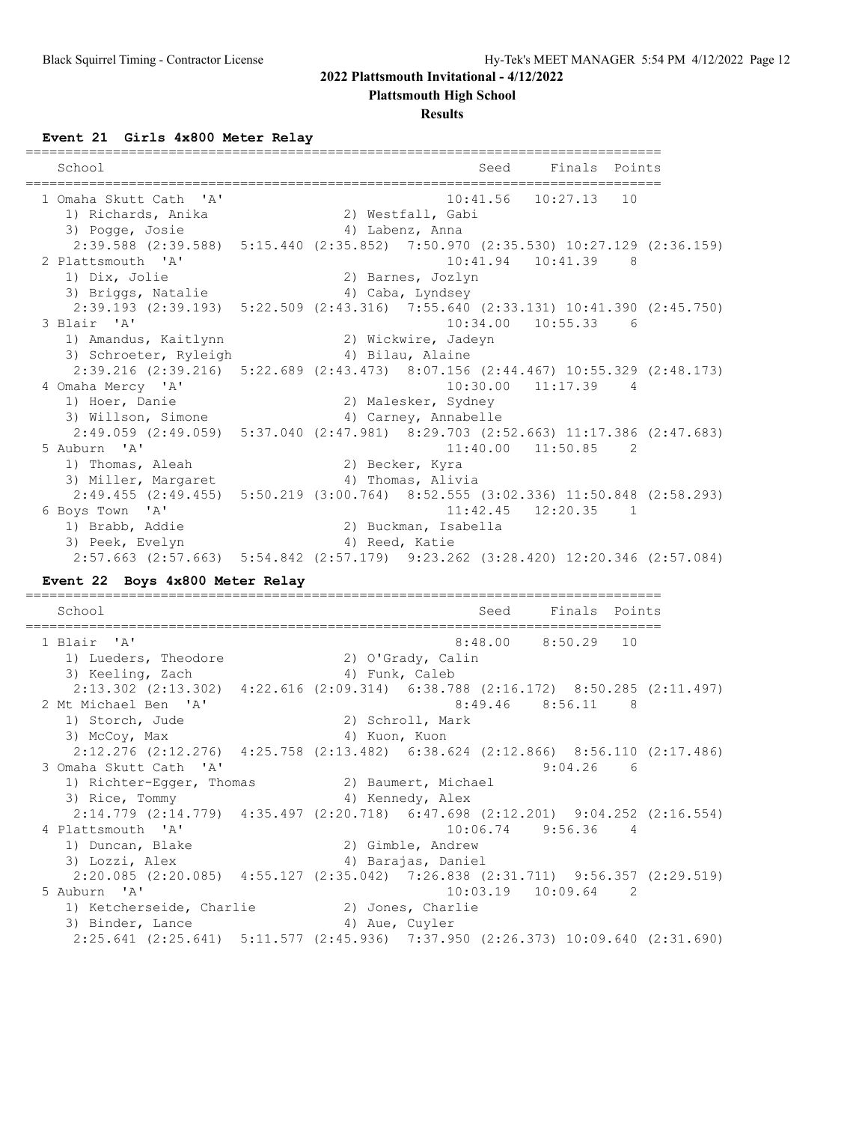**Plattsmouth High School**

#### **Results**

**Event 21 Girls 4x800 Meter Relay**

| School                                                                                                  |                  |                      | Seed     |                         | Finals Points  |  |
|---------------------------------------------------------------------------------------------------------|------------------|----------------------|----------|-------------------------|----------------|--|
| 1 Omaha Skutt Cath 'A'                                                                                  |                  |                      | 10:41.56 | 10:27.13                | 10             |  |
| 1) Richards, Anika                                                                                      |                  | 2) Westfall, Gabi    |          |                         |                |  |
| 3) Pogge, Josie                                                                                         |                  | 4) Labenz, Anna      |          |                         |                |  |
| 2:39.588 (2:39.588) 5:15.440 (2:35.852) 7:50.970 (2:35.530) 10:27.129 (2:36.159)                        |                  |                      |          |                         |                |  |
| 2 Plattsmouth 'A'                                                                                       |                  |                      |          | 10:41.94  10:41.39  8   |                |  |
| 1) Dix, Jolie                                                                                           |                  | 2) Barnes, Jozlyn    |          |                         |                |  |
| 3) Briggs, Natalie                                                                                      |                  | 4) Caba, Lyndsey     |          |                         |                |  |
| 2:39.193 (2:39.193) 5:22.509 (2:43.316) 7:55.640 (2:33.131) 10:41.390 (2:45.750)                        |                  |                      |          |                         |                |  |
| 3 Blair 'A'                                                                                             |                  |                      | 10:34.00 | $10:55.33$ 6            |                |  |
| 1) Amandus, Kaitlynn (2) Wickwire, Jadeyn                                                               |                  |                      |          |                         |                |  |
| 3) Schroeter, Ryleigh                                                                                   | 4) Bilau, Alaine |                      |          |                         |                |  |
| 2:39.216 (2:39.216) 5:22.689 (2:43.473) 8:07.156 (2:44.467) 10:55.329 (2:48.173)                        |                  |                      |          |                         |                |  |
| 4 Omaha Mercy 'A'                                                                                       |                  |                      | 10:30.00 | 11:17.39                | $\overline{4}$ |  |
| 1) Hoer, Danie                                                                                          |                  | 2) Malesker, Sydney  |          |                         |                |  |
| 3) Willson, Simone                                                                                      |                  | 4) Carney, Annabelle |          |                         |                |  |
| 2:49.059 (2:49.059) 5:37.040 (2:47.981) 8:29.703 (2:52.663) 11:17.386 (2:47.683)                        |                  |                      |          |                         |                |  |
| 5 Auburn 'A'                                                                                            |                  |                      |          | $11:40.00$ $11:50.85$ 2 |                |  |
| 1) Thomas, Aleah                                                                                        |                  | 2) Becker, Kyra      |          |                         |                |  |
| 3) Miller, Margaret                                                                                     |                  | 4) Thomas, Alivia    |          |                         |                |  |
| 2:49.455 (2:49.455) 5:50.219 (3:00.764) 8:52.555 (3:02.336) 11:50.848 (2:58.293)                        |                  |                      |          |                         |                |  |
| 6 Boys Town 'A'                                                                                         |                  |                      | 11:42.45 | $12:20.35$ 1            |                |  |
| 1) Brabb, Addie                                                                                         |                  |                      |          |                         |                |  |
|                                                                                                         |                  | 2) Buckman, Isabella |          |                         |                |  |
| 3) Peek, Evelyn<br>2:57.663 (2:57.663) 5:54.842 (2:57.179) 9:23.262 (3:28.420) 12:20.346 (2:57.084)     |                  | 4) Reed, Katie       |          |                         |                |  |
| Event 22 Boys 4x800 Meter Relay                                                                         |                  |                      |          |                         |                |  |
|                                                                                                         |                  |                      |          |                         |                |  |
|                                                                                                         |                  |                      |          |                         |                |  |
| School                                                                                                  |                  |                      | Seed     |                         | Finals Points  |  |
| 1 Blair 'A'                                                                                             |                  |                      | 8:48.00  | 8:50.29                 | 10             |  |
|                                                                                                         |                  |                      |          |                         |                |  |
| 1) Lueders, Theodore                                                                                    |                  | 2) O'Grady, Calin    |          |                         |                |  |
| 3) Keeling, Zach                                                                                        | 4) Funk, Caleb   |                      |          |                         |                |  |
| 2:13.302 (2:13.302) 4:22.616 (2:09.314) 6:38.788 (2:16.172) 8:50.285 (2:11.497)<br>2 Mt Michael Ben 'A' |                  |                      |          |                         | 8 <sup>8</sup> |  |
|                                                                                                         |                  |                      |          | $8:49.46$ $8:56.11$     |                |  |
| 1) Storch, Jude                                                                                         |                  | 2) Schroll, Mark     |          |                         |                |  |
| 3) McCoy, Max                                                                                           | 4) Kuon, Kuon    |                      |          |                         |                |  |
| 2:12.276 (2:12.276) 4:25.758 (2:13.482) 6:38.624 (2:12.866) 8:56.110 (2:17.486)                         |                  |                      |          |                         |                |  |
| 3 Omaha Skutt Cath 'A'                                                                                  |                  |                      |          | 9:04.26                 | -6             |  |
| 1) Richter-Egger, Thomas                                                                                |                  | 2) Baumert, Michael  |          |                         |                |  |
| 3) Rice, Tommy                                                                                          |                  | 4) Kennedy, Alex     |          |                         |                |  |
| 2:14.779 (2:14.779) 4:35.497 (2:20.718) 6:47.698 (2:12.201) 9:04.252 (2:16.554)                         |                  |                      |          |                         |                |  |
| 4 Plattsmouth 'A'                                                                                       |                  |                      |          | 10:06.74 9:56.36 4      |                |  |
| 1) Duncan, Blake                                                                                        |                  | 2) Gimble, Andrew    |          |                         |                |  |
| 3) Lozzi, Alex                                                                                          |                  | 4) Barajas, Daniel   |          |                         |                |  |
| 2:20.085 (2:20.085) 4:55.127 (2:35.042) 7:26.838 (2:31.711) 9:56.357 (2:29.519)                         |                  |                      |          |                         |                |  |
| 5 Auburn 'A'                                                                                            |                  |                      | 10:03.19 | $10:09.64$ 2            |                |  |
| 1) Ketcherseide, Charlie                                                                                |                  | 2) Jones, Charlie    |          |                         |                |  |
| 3) Binder, Lance<br>2:25.641 (2:25.641) 5:11.577 (2:45.936) 7:37.950 (2:26.373) 10:09.640 (2:31.690)    |                  | 4) Aue, Cuyler       |          |                         |                |  |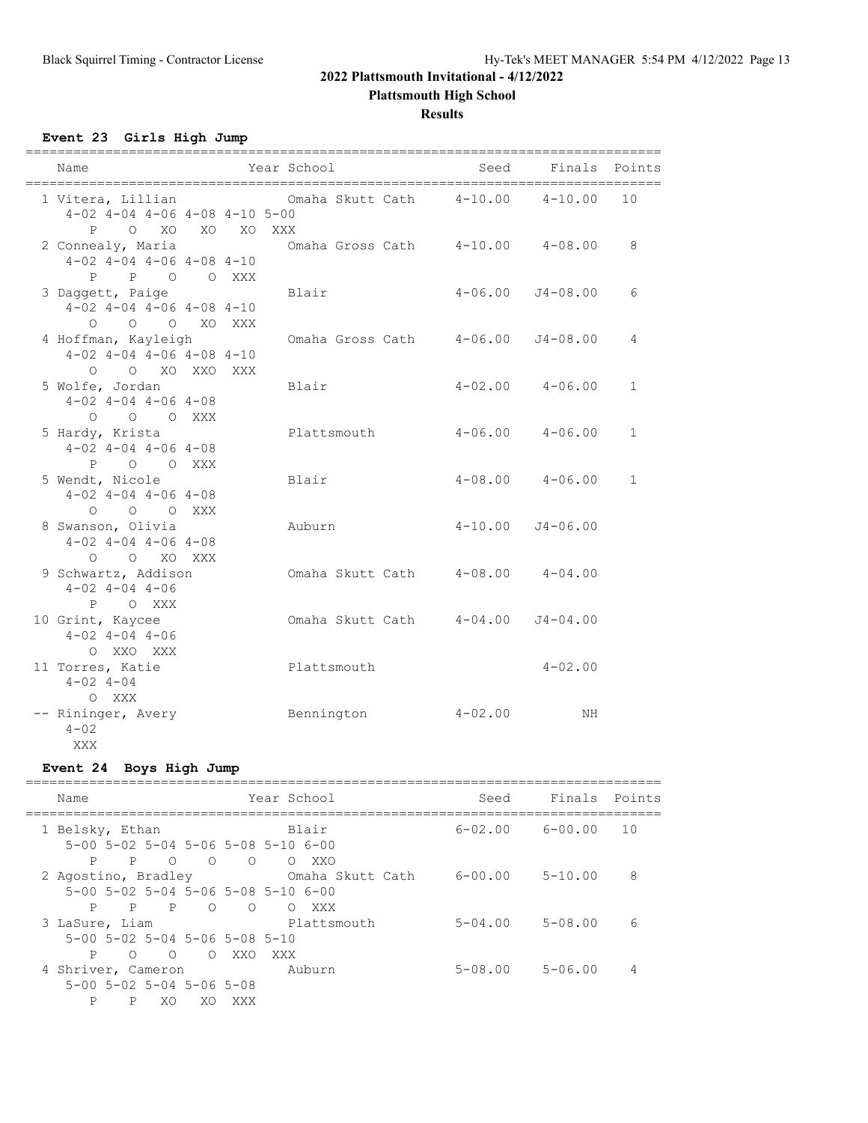**Plattsmouth High School**

**Results**

**Event 23 Girls High Jump**

| Name                                                                        | Year School                                        | Seed        | Finals                  | Points       |
|-----------------------------------------------------------------------------|----------------------------------------------------|-------------|-------------------------|--------------|
| $4-02$ $4-04$ $4-06$ $4-08$ $4-10$ $5-00$                                   | 1 Vitera, Lillian Cmaha Skutt Cath 4-10.00 4-10.00 |             |                         | 10           |
| O XO XO<br>P<br>2 Connealy, Maria<br>$4-02$ $4-04$ $4-06$ $4-08$ $4-10$     | XO XXX<br>Omaha Gross Cath 4-10.00 4-08.00         |             |                         | 8            |
| P P O O XXX<br>3 Daggett, Paige                                             | Blair                                              | $4 - 06.00$ | J4-08.00                | 6            |
| $4-02$ $4-04$ $4-06$ $4-08$ $4-10$<br>O O O XO XXX                          |                                                    |             |                         |              |
| 4 Hoffman, Kayleigh<br>$4-02$ $4-04$ $4-06$ $4-08$ $4-10$<br>O O XO XXO XXX | Omaha Gross Cath                                   | 4-06.00     | J4-08.00                | 4            |
| 5 Wolfe, Jordan<br>$4-02$ $4-04$ $4-06$ $4-08$                              | Blair                                              |             | $4-02.00$ $4-06.00$     | $\mathbf{1}$ |
| O O O XXX<br>5 Hardy, Krista<br>$4-02$ $4-04$ $4-06$ $4-08$                 | Plattsmouth                                        |             | $4 - 06.00$ $4 - 06.00$ | $\mathbf{1}$ |
| P O O XXX<br>5 Wendt, Nicole<br>$4-02$ $4-04$ $4-06$ $4-08$                 | Blair                                              |             | $4-08.00$ $4-06.00$     | $\mathbf{1}$ |
| O O O XXX<br>8 Swanson, Olivia<br>$4-02$ $4-04$ $4-06$ $4-08$               | Auburn                                             | $4 - 10.00$ | $J4 - 06.00$            |              |
| $O$ $O$ $XO$ $XXX$<br>9 Schwartz, Addison<br>$4 - 02$ $4 - 04$ $4 - 06$     | Omaha Skutt Cath 4-08.00 4-04.00                   |             |                         |              |
| P O XXX<br>10 Grint, Kaycee<br>$4-02$ $4-04$ $4-06$                         | Omaha Skutt Cath 4-04.00                           |             | $J4 - 04.00$            |              |
| O XXO XXX<br>11 Torres, Katie<br>$4 - 02$ $4 - 04$                          | Plattsmouth                                        |             | $4 - 02.00$             |              |
| O XXX<br>-- Rininger, Avery<br>$4 - 02$<br>XXX                              | Bennington                                         | $4 - 02.00$ | ΝH                      |              |

# **Event 24 Boys High Jump**

| Name                                                                                                                                                    | Year School                     | Seed        | Finals Points |     |
|---------------------------------------------------------------------------------------------------------------------------------------------------------|---------------------------------|-------------|---------------|-----|
| 1 Belsky, Ethan<br>$5-00$ $5-02$ $5-04$ $5-06$ $5-08$ $5-10$ $6-00$                                                                                     | Blair                           | 6-02.00     | 6-00.00       | 1 O |
| $\begin{matrix} 0 & 0 \end{matrix}$<br>P<br>$\overline{P}$<br>$\overline{O}$<br>2 Agostino, Bradley<br>$5-00$ $5-02$ $5-04$ $5-06$ $5-08$ $5-10$ $6-00$ | O XXO<br>Omaha Skutt Cath       | 6-00.00     | $5 - 10.00$   | 8   |
| $\overline{P}$<br>$\circ$<br>P<br>$\overline{P}$<br>3 LaSure, Liam<br>$5-00$ $5-02$ $5-04$ $5-06$ $5-08$ $5-10$                                         | $\circ$<br>O XXX<br>Plattsmouth | $5 - 04.00$ | $5 - 08.00$   | 6   |
| $\circ$ 0<br>P<br>$\bigcirc$<br>4 Shriver, Cameron<br>$5 - 00$ $5 - 02$ $5 - 04$ $5 - 06$ $5 - 08$<br>P<br>P<br>XO.<br>XO.                              | XXO<br>XXX X<br>Auburn<br>XXX   | $5 - 08.00$ | $5 - 06.00$   | 4   |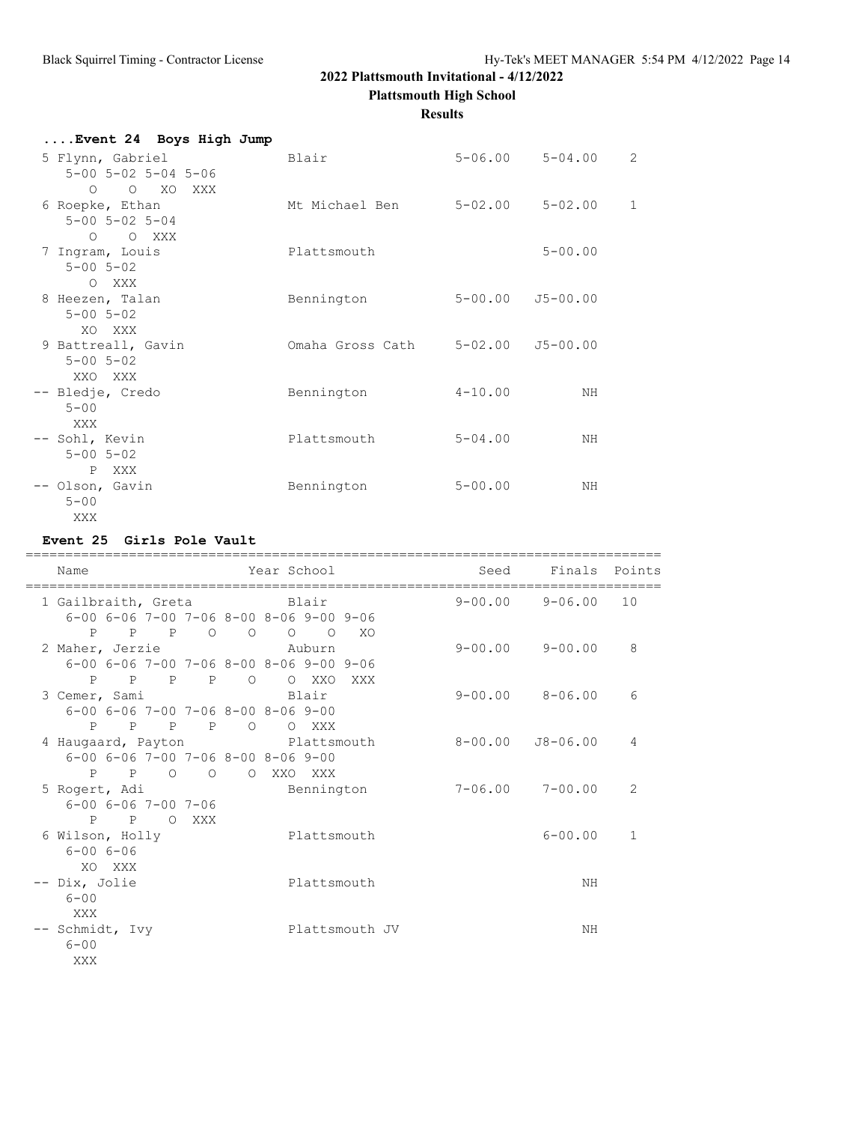**Plattsmouth High School**

#### **Results**

| Event 24 Boys High Jump                                 |                  |                          |                         |                |
|---------------------------------------------------------|------------------|--------------------------|-------------------------|----------------|
| 5 Flynn, Gabriel<br>$5 - 00$ $5 - 02$ $5 - 04$ $5 - 06$ | Blair            |                          | $5 - 06.00$ $5 - 04.00$ | $\overline{2}$ |
| O O XO XXX<br>6 Roepke, Ethan                           | Mt Michael Ben   | 5-02.00 5-02.00          |                         | $\mathbf 1$    |
| $5 - 00$ $5 - 02$ $5 - 04$<br>O O XXX                   |                  |                          |                         |                |
| 7 Ingram, Louis<br>$5 - 00$ $5 - 02$<br>O XXX           | Plattsmouth      |                          | $5 - 00.00$             |                |
| 8 Heezen, Talan<br>$5 - 00$ $5 - 02$<br>XO XXX          | Bennington       | $5 - 00.00$ $J5 - 00.00$ |                         |                |
| 9 Battreall, Gavin<br>$5 - 00$ $5 - 02$<br>XXO XXX      | Omaha Gross Cath | 5-02.00                  | J5-00.00                |                |
| -- Bledje, Credo<br>$5 - 00$<br>XXX                     | Bennington       | $4 - 10.00$              | NH                      |                |
| -- Sohl, Kevin<br>$5 - 00$ $5 - 02$<br>P XXX            | Plattsmouth      | $5 - 04.00$              | NH                      |                |
| -- Olson, Gavin<br>$5 - 00$<br>XXX                      | Bennington       | $5 - 00.00$              | ΝH                      |                |

#### **Event 25 Girls Pole Vault**

| Name                                                                                                       | Year School                                      | Seed Finals Points      |              |
|------------------------------------------------------------------------------------------------------------|--------------------------------------------------|-------------------------|--------------|
| 1 Gailbraith, Greta Blair<br>$6-00$ $6-06$ $7-00$ $7-06$ $8-00$ $8-06$ $9-00$ $9-06$                       |                                                  | $9 - 00.00$ $9 - 06.00$ | 10           |
| $P$ $P$ $P$ 0 0 0 0<br>2 Maher, Jerzie<br>$6-00$ $6-06$ $7-00$ $7-06$ $8-00$ $8-06$ $9-00$ $9-06$          | XO<br>Auburn                                     | $9 - 00.00$ $9 - 00.00$ | 8            |
| P<br>P P P O<br>3 Cemer, Sami<br>$6 - 00$ $6 - 06$ $7 - 00$ $7 - 06$ $8 - 00$ $8 - 06$ $9 - 00$<br>P P P P | O XXO<br>XXX<br>Blair<br>$\overline{O}$<br>O XXX | $9 - 00.00$ $8 - 06.00$ | 6            |
| 4 Haugaard, Payton<br>$6-00$ $6-06$ $7-00$ $7-06$ $8-00$ $8-06$ $9-00$<br>$P$ $P$ $Q$<br>$\overline{O}$    | Plattsmouth<br>O XXO XXX                         | 8-00.00 J8-06.00        | 4            |
| 5 Rogert, Adi<br>$6 - 00$ $6 - 06$ $7 - 00$ $7 - 06$<br>P P O XXX                                          | Bennington                                       | $7 - 06.00$ $7 - 00.00$ | 2            |
| 6 Wilson, Holly<br>$6 - 006 - 06$<br>XO XXX                                                                | Plattsmouth                                      | $6 - 00.00$             | $\mathbf{1}$ |
| -- Dix, Jolie<br>$6 - 00$<br>XXX                                                                           | Plattsmouth                                      | NH                      |              |
| -- Schmidt, Ivy<br>$6 - 00$<br>XXX                                                                         | Plattsmouth JV                                   | ΝH                      |              |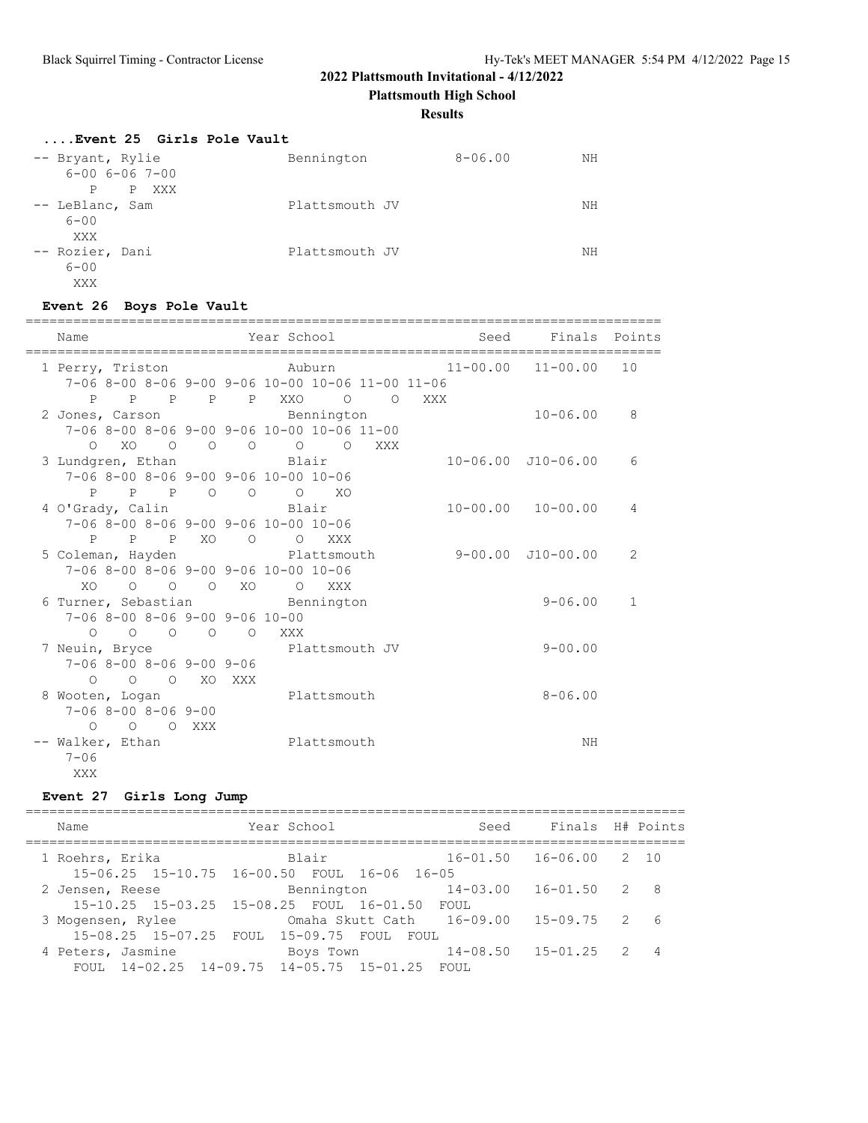**Plattsmouth High School**

#### **Results**

| Event 25 Girls Pole Vault                                    |                |             |    |
|--------------------------------------------------------------|----------------|-------------|----|
| -- Bryant, Rylie<br>$6 - 00$ $6 - 06$ $7 - 00$<br>P XXX<br>P | Bennington     | $8 - 06.00$ | ΝH |
| -- LeBlanc, Sam<br>$6 - 00$<br>XXX                           | Plattsmouth JV |             | NΗ |
| -- Rozier, Dani<br>$6 - 00$<br>XXX                           | Plattsmouth JV |             | NΗ |

# **Event 26 Boys Pole Vault**

| Name                                 | Year School Sear                                 | Seed  | Finals Points              |              |
|--------------------------------------|--------------------------------------------------|-------|----------------------------|--------------|
| 1 Perry, Triston                     | Auburn 11-00.00 11-00.00                         |       |                            | 10           |
|                                      | 7-06 8-00 8-06 9-00 9-06 10-00 10-06 11-00 11-06 |       |                            |              |
|                                      | P P P P P XXO O                                  | O XXX |                            |              |
|                                      | 2 Jones, Carson Bennington                       |       | $10 - 06.00$               | 8            |
|                                      | 7-06 8-00 8-06 9-00 9-06 10-00 10-06 11-00       |       |                            |              |
|                                      | 0 XO 0 0 0 0 0 XXX                               |       |                            |              |
| 3 Lundgren, Ethan Blair              |                                                  |       | $10 - 06.00$ $J10 - 06.00$ | 6            |
| 7-06 8-00 8-06 9-00 9-06 10-00 10-06 |                                                  |       |                            |              |
|                                      | P P P O O O XO                                   |       |                            |              |
| 4 O'Grady, Calin                     | Blair Blair                                      |       | $10 - 00.00$ $10 - 00.00$  | 4            |
| 7-06 8-00 8-06 9-00 9-06 10-00 10-06 |                                                  |       |                            |              |
| P P P XO                             | O O XXX                                          |       |                            |              |
|                                      | 5 Coleman, Hayden Blattsmouth                    |       | 9-00.00 J10-00.00          | 2            |
| 7-06 8-00 8-06 9-00 9-06 10-00 10-06 |                                                  |       |                            |              |
| XO O O O XO O XXX                    |                                                  |       |                            |              |
| 6 Turner, Sebastian and Bennington   |                                                  |       | $9 - 06.00$                | $\mathbf{1}$ |
| $7-06$ 8-00 8-06 9-00 9-06 10-00     |                                                  |       |                            |              |
| 0 0 0 0 0 XXX                        |                                                  |       |                            |              |
|                                      | 7 Neuin, Bryce Plattsmouth JV                    |       | $9 - 00.00$                |              |
| $7-068-008-069-009-06$               |                                                  |       |                            |              |
| O O O XO XXX                         |                                                  |       |                            |              |
| 8 Wooten, Logan Plattsmouth          |                                                  |       | $8 - 06.00$                |              |
| $7 - 068 - 008 - 069 - 00$           |                                                  |       |                            |              |
| O O O XXX                            |                                                  |       |                            |              |
| -- Walker, Ethan                     | Plattsmouth                                      |       | ΝH                         |              |
| $7 - 06$                             |                                                  |       |                            |              |
| <b>XXX</b>                           |                                                  |       |                            |              |

# **Event 27 Girls Long Jump**

| Name                                          | Year School | Seed                                   | Finals H# Points       |  |
|-----------------------------------------------|-------------|----------------------------------------|------------------------|--|
| 1 Roehrs, Erika                               | Blair       |                                        | 16-01.50 16-06.00 2 10 |  |
| 15-06.25 15-10.75 16-00.50 FOUL 16-06 16-05   |             |                                        |                        |  |
| 2 Jensen, Reese                               |             |                                        |                        |  |
| 15-10.25 15-03.25 15-08.25 FOUL 16-01.50 FOUL |             |                                        |                        |  |
| 3 Mogensen, Rylee                             |             | Omaha Skutt Cath 16-09.00 15-09.75 2 6 |                        |  |
| 15-08.25 15-07.25 FOUL 15-09.75 FOUL FOUL     |             |                                        |                        |  |
| 4 Peters, Jasmine                             |             | Boys Town 14-08.50 15-01.25 2 4        |                        |  |
| FOUL 14-02.25 14-09.75 14-05.75 15-01.25 FOUL |             |                                        |                        |  |
|                                               |             |                                        |                        |  |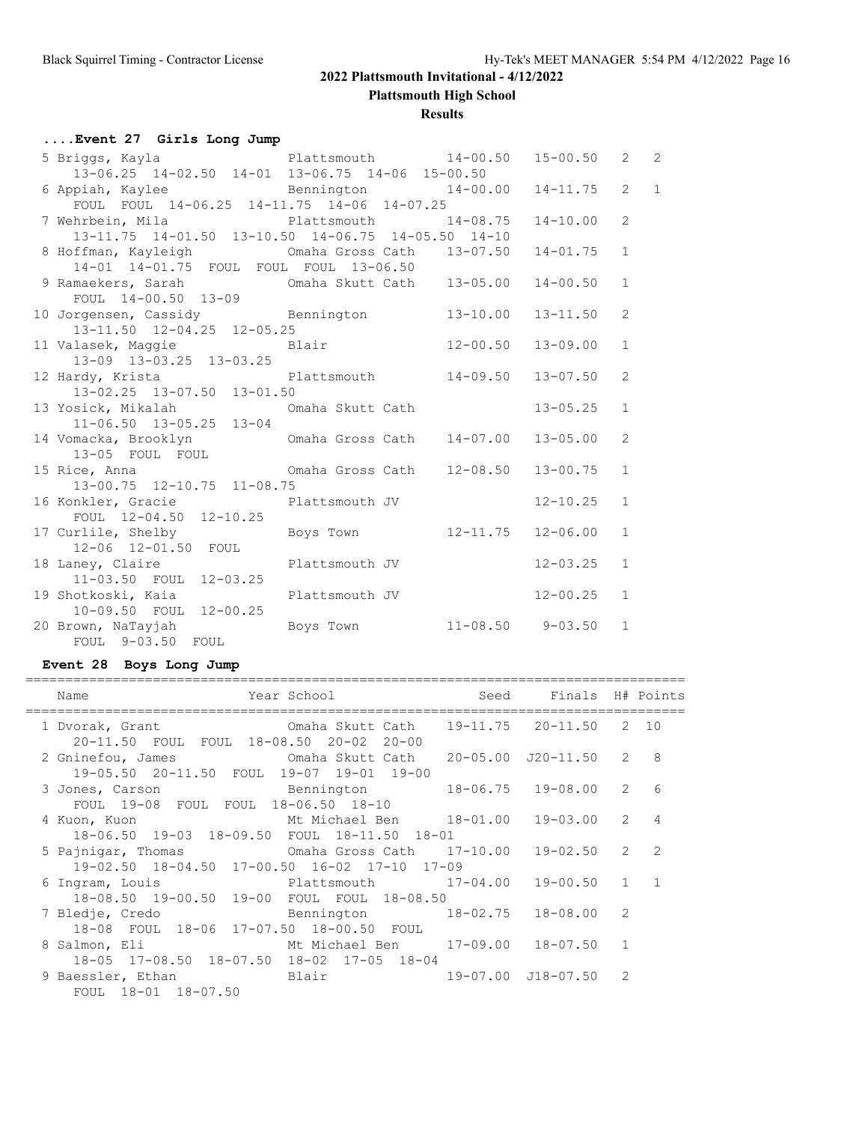**Plattsmouth High School**

#### **Results**

# **....Event 27 Girls Long Jump**

| 5 Briggs, Kayla           Plattsmouth       14-00.50   15-00.50   2<br>13-06.25 14-02.50 14-01 13-06.75 14-06 15-00.50                         |                |              |              | 2 |
|------------------------------------------------------------------------------------------------------------------------------------------------|----------------|--------------|--------------|---|
| 6 Appiah, Kaylee Bennington 14-00.00<br>FOUL FOUL 14-06.25 14-11.75 14-06 14-07.25                                                             |                | $14 - 11.75$ | $2 \quad 1$  |   |
| 7 Wehrbein, Mila Blattsmouth 14-08.75<br>13-11.75 14-01.50 13-10.50 14-06.75 14-05.50 14-10                                                    |                | $14 - 10.00$ | 2            |   |
| 8 Hoffman, Kayleigh 6 Comaha Gross Cath 13-07.50<br>14-01 14-01.75 FOUL FOUL FOUL 13-06.50                                                     |                | $14 - 01.75$ | $\mathbf{1}$ |   |
| $\frac{1}{2000}$ $\frac{1}{2000}$ $\frac{1}{2000}$ $\frac{1}{2000}$<br>9 Ramaekers, Sarah – Omaha Skutt Cath – 13-05.00<br>FOUL 14-00.50 13-09 |                | $14 - 00.50$ | $\mathbf{1}$ |   |
| 10 Jorgensen, Cassidy Bennington 13-10.00<br>13-11.50 12-04.25 12-05.25                                                                        |                | $13 - 11.50$ | 2            |   |
| 13-09 13-03.25 13-03.25                                                                                                                        |                | $13 - 09.00$ | $\mathbf{1}$ |   |
| 12 Hardy, Krista $\qquad \qquad$ Plattsmouth $14-09.50$<br>13-02.25 13-07.50 13-01.50                                                          |                | $13 - 07.50$ | 2            |   |
| 13 Yosick, Mikalah (13 Omaha Skutt Cath<br>$11-06.50$ $13-05.25$ $13-04$                                                                       |                | $13 - 05.25$ | $\mathbf{1}$ |   |
| 14 Vomacka, Brooklyn Cmaha Gross Cath 14-07.00 13-05.00<br>13-05 FOUL FOUL                                                                     |                |              | 2            |   |
| 15 Rice, Anna (12-08.50)<br>13-00.75 12-10.75 11-08.75                                                                                         |                | $13 - 00.75$ | $\mathbf{1}$ |   |
| 16 Konkler, Gracie Plattsmouth JV<br>FOUL 12-04.50 12-10.25                                                                                    |                | $12 - 10.25$ | $\mathbf{1}$ |   |
| 17 Curlile, Shelby Boys Town 12-11.75 12-06.00<br>12-06 12-01.50 FOUL                                                                          |                |              | $\mathbf{1}$ |   |
| 18 Laney, Claire <b>Example 20</b> Plattsmouth JV<br>11-03.50 FOUL 12-03.25                                                                    |                | $12 - 03.25$ | $\mathbf{1}$ |   |
| 19 Shotkoski, Kaia<br>10-09.50 FOUL 12-00.25                                                                                                   | Plattsmouth JV | $12 - 00.25$ | $\mathbf{1}$ |   |
| 20 Brown, NaTayjah Manus Boys Town 11-08.50 9-03.50<br>FOUL 9-03.50 FOUL                                                                       |                |              | $\mathbf{1}$ |   |

# **Event 28 Boys Long Jump**

| Year School and Seed Finals H# Points<br>Name<br>===============================                                |                    |                |                 |
|-----------------------------------------------------------------------------------------------------------------|--------------------|----------------|-----------------|
| 1 Dvorak, Grant 6 0maha Skutt Cath 19-11.75 20-11.50 2 10<br>20-11.50 FOUL FOUL 18-08.50 20-02 20-00            |                    |                |                 |
| 19-05.50 20-11.50 FOUL 19-07 19-01 19-00                                                                        |                    |                |                 |
| 3 Jones, Carson and Bennington<br>FOUL 19-08 FOUL FOUL 18-06.50 18-10                                           | 18-06.75 19-08.00  | $\overline{2}$ | $6\overline{6}$ |
| Mt Michael Ben 18-01.00<br>4 Kuon, Kuon<br>18-06.50 19-03 18-09.50 FOUL 18-11.50 18-01                          | $19 - 03.00$ 2 4   |                |                 |
| 5 Pajnigar, Thomas 6maha Gross Cath 17-10.00 19-02.50 2 2<br>19-02.50 18-04.50 17-00.50 16-02 17-10 17-09       |                    |                |                 |
| 6 Ingram, Louis 6 2015 12-04.00 19-00.50 1 1<br>18-08.50 19-00.50 19-00 FOUL FOUL 18-08.50                      |                    |                |                 |
| 7 Bledje, Credo               Bennington         18-02.75   18-08.00<br>18-08 FOUL 18-06 17-07.50 18-00.50 FOUL |                    | 2              |                 |
| Mt Michael Ben 17-09.00 18-07.50 1<br>8 Salmon, Eli<br>18-05 17-08.50 18-07.50 18-02 17-05 18-04                |                    |                |                 |
| 9 Baessler, Ethan                     Blair<br>FOUL 18-01 18-07.50                                              | 19-07.00 J18-07.50 | 2              |                 |
|                                                                                                                 |                    |                |                 |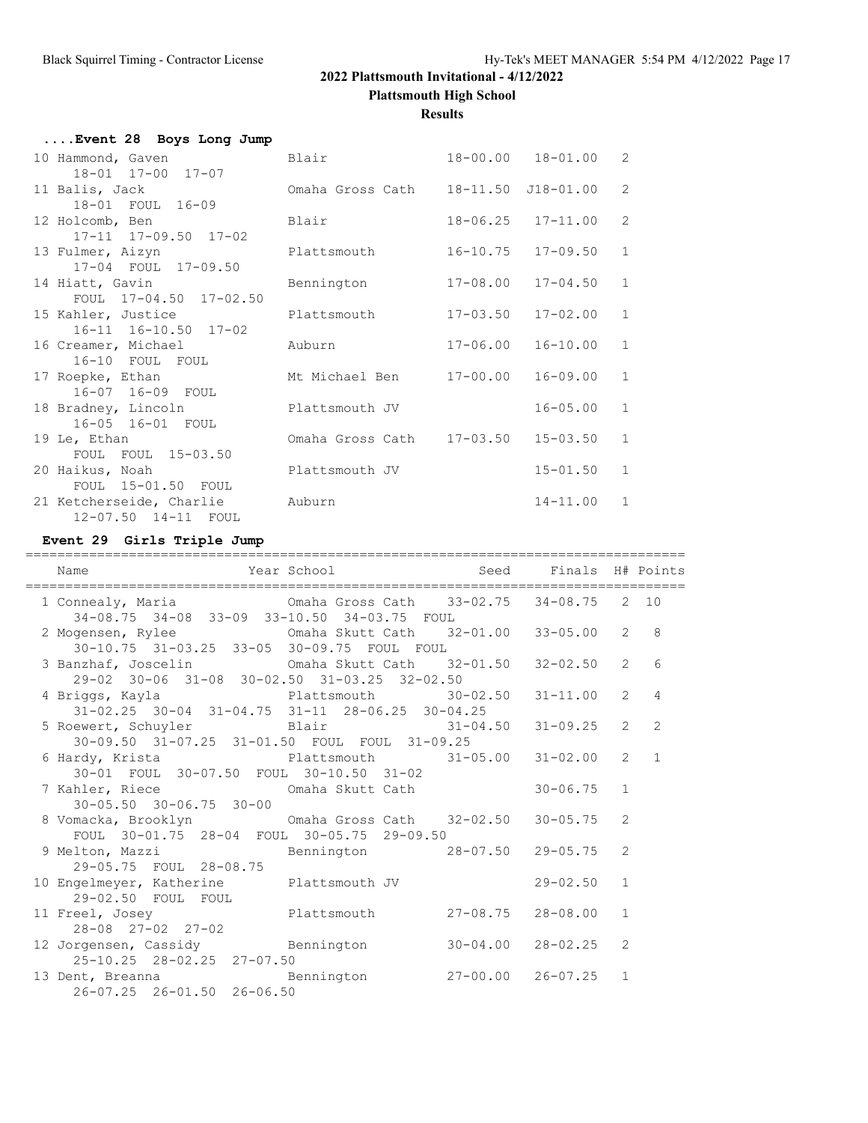**Plattsmouth High School**

**Results**

| Event 28 Boys Long Jump          |                           |              |                           |              |
|----------------------------------|---------------------------|--------------|---------------------------|--------------|
| 10 Hammond, Gaven                | Blair                     |              | $18 - 00.00$ $18 - 01.00$ | 2            |
| $18 - 01$ $17 - 00$ $17 - 07$    |                           |              |                           |              |
| 11 Balis, Jack                   | Omaha Gross Cath          |              | 18-11.50 J18-01.00        | 2            |
| 18-01 FOUL 16-09                 |                           |              |                           |              |
| 12 Holcomb, Ben                  | Blair                     |              | $18 - 06.25$ $17 - 11.00$ | 2            |
| $17 - 11$ $17 - 09.50$ $17 - 02$ |                           |              |                           |              |
| 13 Fulmer, Aizyn                 | Plattsmouth               | $16 - 10.75$ | $17 - 09.50$              | $\mathbf{1}$ |
| 17-04 FOUL 17-09.50              |                           |              |                           |              |
| 14 Hiatt, Gavin                  | Bennington                | 17-08.00     | $17 - 04.50$              | $\mathbf{1}$ |
| FOUL 17-04.50 17-02.50           |                           |              |                           |              |
| 15 Kahler, Justice               | Plattsmouth               | $17 - 03.50$ | $17 - 02.00$              | $\mathbf{1}$ |
| 16-11 16-10.50 17-02             |                           |              |                           |              |
| 16 Creamer, Michael              | Auburn                    | $17 - 06.00$ | $16 - 10.00$              | $\mathbf{1}$ |
| 16-10 FOUL FOUL                  |                           |              |                           |              |
| 17 Roepke, Ethan                 | Mt Michael Ben            | 17-00.00     | $16 - 09.00$              | $\mathbf{1}$ |
| 16-07 16-09 FOUL                 |                           |              |                           |              |
| 18 Bradney, Lincoln              | Plattsmouth JV            |              | $16 - 05.00$              | $\mathbf{1}$ |
| 16-05 16-01 FOUL                 |                           |              |                           |              |
| 19 Le, Ethan                     | Omaha Gross Cath 17-03.50 |              | $15 - 03.50$              | $\mathbf{1}$ |
| FOUL FOUL 15-03.50               |                           |              |                           |              |
| 20 Haikus, Noah                  | Plattsmouth JV            |              | $15 - 01.50$              | $\mathbf{1}$ |
| FOUL 15-01.50 FOUL               |                           |              |                           |              |
| 21 Ketcherseide, Charlie         | Auburn                    |              | $14 - 11.00$              | $\mathbf{1}$ |
| 12-07.50 14-11 FOUL              |                           |              |                           |              |

#### **Event 29 Girls Triple Jump**

| Name                                                                                                                       | Year School                             Seed       Finals   H# Points |              |              |                |                               |
|----------------------------------------------------------------------------------------------------------------------------|-----------------------------------------------------------------------|--------------|--------------|----------------|-------------------------------|
| 34-08.75 34-08 33-09 33-10.50 34-03.75 FOUL                                                                                |                                                                       |              |              |                |                               |
| 2 Mogensen, Rylee 6 Cmaha Skutt Cath 32-01.00 33-05.00<br>30-10.75 31-03.25 33-05 30-09.75 FOUL FOUL                       |                                                                       |              |              | $\overline{2}$ | 8                             |
| 3 Banzhaf, Joscelin (1984) Omaha Skutt Cath 32-01.50 32-02.50<br>29-02 30-06 31-08 30-02.50 31-03.25 32-02.50              |                                                                       |              |              | $\overline{2}$ | 6                             |
| 4 Briggs, Kayla <b>Plattsmouth</b> 30-02.50<br>31-02.25 30-04 31-04.75 31-11 28-06.25 30-04.25                             |                                                                       |              | $31 - 11.00$ | $\overline{2}$ | $\overline{4}$                |
| 5 Roewert, Schuyler Blair 31-04.50 31-09.25<br>30-09.50 31-07.25 31-01.50 FOUL FOUL 31-09.25                               |                                                                       |              |              |                | $\overline{2}$<br>$2^{\circ}$ |
| 6 Hardy, Krista               Plattsmouth         31-05.00   31-02.00                                                      |                                                                       |              |              | 2              | $\mathbf{1}$                  |
| $30 - 05.50$ $30 - 06.75$ $30 - 00$                                                                                        |                                                                       |              | $30 - 06.75$ | $\mathbf{1}$   |                               |
| 8 Vomacka, Brooklyn               Omaha Gross Cath     32-02.50     30-05.75<br>FOUL 30-01.75 28-04 FOUL 30-05.75 29-09.50 |                                                                       |              |              | 2              |                               |
| 9 Melton, Mazzi Bennington 28-07.50 29-05.75<br>29-05.75 FOUL 28-08.75                                                     |                                                                       |              |              | 2              |                               |
| 10 Engelmeyer, Katherine Plattsmouth JV<br>29-02.50 FOUL FOUL                                                              |                                                                       |              | $29 - 02.50$ | $\mathbf{1}$   |                               |
| 11 Freel, Josey Plattsmouth 27-08.75<br>28-08 27-02 27-02                                                                  |                                                                       |              | $28 - 08.00$ | $\mathbf{1}$   |                               |
| 12 Jorgensen, Cassidy Bennington<br>25-10.25 28-02.25 27-07.50                                                             |                                                                       | $30 - 04.00$ | $28 - 02.25$ | 2              |                               |
| 13 Dent, Breanna Mennington 27-00.00 26-07.25<br>26-07.25 26-01.50 26-06.50                                                |                                                                       |              |              | $\mathbf{1}$   |                               |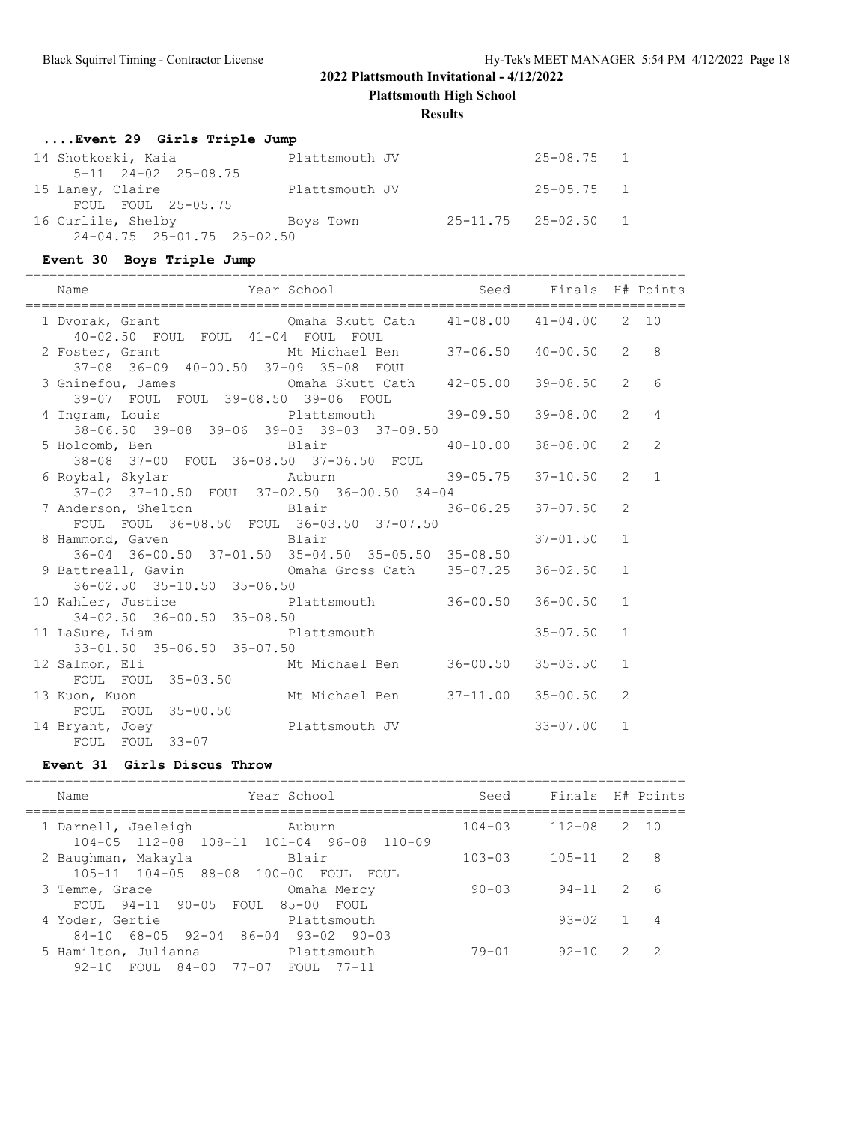**Plattsmouth High School**

#### **Results**

# **....Event 29 Girls Triple Jump**

| 14 Shotkoski, Kaia                     | Plattsmouth JV | $25 - 08.75$ 1              |  |
|----------------------------------------|----------------|-----------------------------|--|
| $5-11$ $24-02$ $25-08.75$              |                |                             |  |
| 15 Laney, Claire                       | Plattsmouth JV | $25 - 05.75$ 1              |  |
| FOUL FOUL 25-05.75                     |                |                             |  |
| 16 Curlile, Shelby                     | Boys Town      | $25 - 11.75$ $25 - 02.50$ 1 |  |
| $24 - 04.75$ $25 - 01.75$ $25 - 02.50$ |                |                             |  |

#### **Event 30 Boys Triple Jump**

|                                                                                                           | ===========================      |          |              |                |                |
|-----------------------------------------------------------------------------------------------------------|----------------------------------|----------|--------------|----------------|----------------|
| Name                                                                                                      |                                  |          |              |                |                |
| 40-02.50 FOUL FOUL 41-04 FOUL FOUL                                                                        |                                  |          |              |                |                |
| 2 Foster, Grant 6 Mt Michael Ben 37-06.50 40-00.50<br>37-08 36-09 40-00.50 37-09 35-08 FOUL               |                                  |          |              | $2^{\circ}$    | 8              |
| 3 Gninefou, James Cmaha Skutt Cath 42-05.00<br>39-07 FOUL FOUL 39-08.50 39-06 FOUL                        |                                  |          | 39-08.50     | $\overline{2}$ | 6              |
| 4 Ingram, Louis Plattsmouth<br>38-06.50 39-08 39-06 39-03 39-03 37-09.50                                  |                                  | 39-09.50 | 39-08.00     | $\overline{2}$ | $\overline{4}$ |
| 5 Holcomb, Ben Blair 40-10.00<br>38-08 37-00 FOUL 36-08.50 37-06.50 FOUL                                  |                                  |          | 38-08.00     | $\overline{2}$ | $\overline{2}$ |
| 6 Roybal, Skylar             Auburn               39-05.75<br>37-02 37-10.50 FOUL 37-02.50 36-00.50 34-04 |                                  |          | 37-10.50     | $\overline{2}$ | $\overline{1}$ |
| 7 Anderson, Shelton Blair 36-06.25 37-07.50<br>FOUL FOUL 36-08.50 FOUL 36-03.50 37-07.50                  |                                  |          |              | 2              |                |
| 8 Hammond, Gaven Blair<br>36-04 36-00.50 37-01.50 35-04.50 35-05.50 35-08.50                              |                                  |          | $37 - 01.50$ | $\mathbf{1}$   |                |
| 9 Battreall, Gavin Comaha Gross Cath 35-07.25 36-02.50<br>$36 - 02.50$ $35 - 10.50$ $35 - 06.50$          |                                  |          |              | $\mathbf{1}$   |                |
| 10 Kahler, Justice Plattsmouth 36-00.50 36-00.50<br>34-02.50 36-00.50 35-08.50                            |                                  |          |              | $\mathbf{1}$   |                |
| 11 LaSure, Liam Plattsmouth<br>$33 - 01.50$ $35 - 06.50$ $35 - 07.50$                                     |                                  |          | $35 - 07.50$ | $\mathbf{1}$   |                |
| 12 Salmon, Eli Mt Michael Ben 36-00.50 35-03.50<br>FOUL FOUL 35-03.50                                     |                                  |          |              | $\mathbf{1}$   |                |
| 13 Kuon, Kuon<br>FOUL FOUL 35-00.50                                                                       | Mt Michael Ben 37-11.00 35-00.50 |          |              | 2              |                |
| 14 Bryant, Joey Plattsmouth JV<br>FOUL FOUL 33-07                                                         |                                  |          | $33 - 07.00$ | $\mathbf{1}$   |                |

#### **Event 31 Girls Discus Throw**

| Year School<br>Name                                                                         | Seed       | Finals     |               | H# Points      |
|---------------------------------------------------------------------------------------------|------------|------------|---------------|----------------|
| 1 Darnell, Jaeleigh<br>Auburn<br>104-05 112-08 108-11 101-04 96-08 110-09                   | $104 - 03$ | $112 - 08$ |               | 2 10           |
| Blair<br>2 Baughman, Makayla<br>$105 - 11$ $104 - 05$ $88 - 08$ $100 - 00$<br>FOUL<br>FOUL. | $103 - 03$ | $105 - 11$ | $\mathcal{L}$ | -8             |
| Omaha Mercy<br>3 Temme, Grace<br>FOUL 94-11 90-05 FOUL 85-00 FOUL                           | $90 - 03$  | $94 - 11$  | 2             | 6              |
| 4 Yoder, Gertie<br>Plattsmouth<br>$84-10$ $68-05$ $92-04$ $86-04$<br>$93 - 02$ 90-03        |            | $93 - 02$  | $\mathbf{1}$  | 4              |
| 5 Hamilton, Julianna<br>Platt.smouth<br>FOUL 84-00 77-07 FOUL 77-11<br>92-10                | $79 - 01$  | $92 - 10$  | 2             | $\overline{2}$ |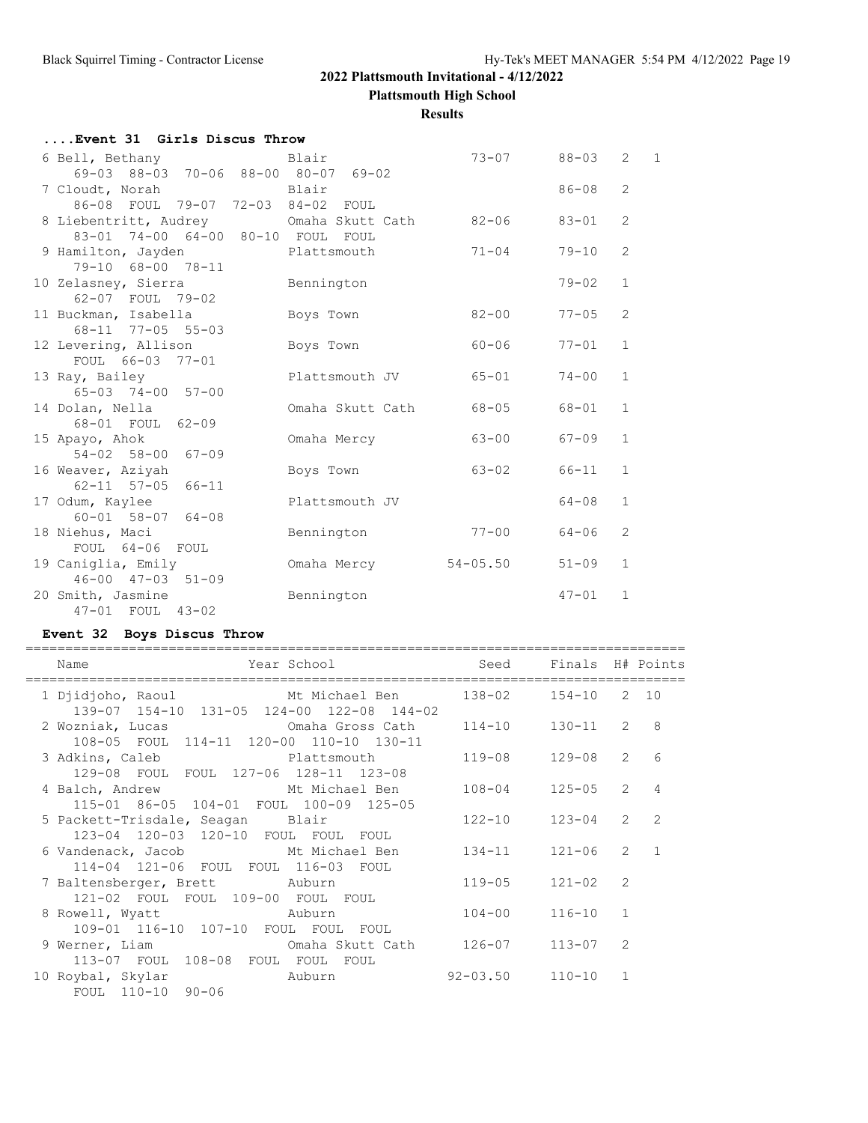**Plattsmouth High School**

#### **Results**

# **....Event 31 Girls Discus Throw**

| 6 Bell, Bethany                                    | Blair            | $73 - 07$    | 88-03     | $\mathbf{1}$<br>$\mathbf{2}$ |
|----------------------------------------------------|------------------|--------------|-----------|------------------------------|
| 69-03 88-03 70-06 88-00 80-07 69-02                |                  |              |           |                              |
| 7 Cloudt, Norah Blair                              |                  |              | $86 - 08$ | 2                            |
| 86-08 FOUL 79-07 72-03 84-02 FOUL                  |                  |              |           |                              |
| 8 Liebentritt, Audrey Cmaha Skutt Cath             |                  | $82 - 06$    | 83-01     | 2                            |
| 83-01 74-00 64-00 80-10 FOUL FOUL                  |                  |              |           |                              |
| 9 Hamilton, Jayden Plattsmouth                     |                  | $71 - 04$    | 79-10     | 2                            |
| 79-10 68-00 78-11                                  |                  |              |           |                              |
| 10 Zelasney, Sierra                                | Bennington       |              | $79 - 02$ | $\mathbf{1}$                 |
| 62-07 FOUL 79-02                                   |                  |              |           |                              |
| 11 Buckman, Isabella                               | Boys Town        | $82 - 00$    | $77 - 05$ | 2                            |
| 68-11 77-05 55-03                                  |                  |              |           |                              |
| 12 Levering, Allison                               | Boys Town        | 60-06        | $77 - 01$ | $\mathbf{1}$                 |
| FOUL 66-03 77-01                                   |                  |              |           |                              |
| 13 Ray, Bailey                                     | Plattsmouth JV   | $65 - 01$    | $74 - 00$ | $\mathbf{1}$                 |
| 65-03 74-00 57-00                                  |                  |              |           |                              |
| 14 Dolan, Nella                                    | Omaha Skutt Cath | 68-05        | 68-01     | $\mathbf{1}$                 |
| 68-01 FOUL 62-09                                   |                  |              |           |                              |
| 15 Apayo, Ahok                                     | Omaha Mercy      | $63 - 00$    | $67 - 09$ | $\mathbf{1}$                 |
| $54 - 02$ $58 - 00$ $67 - 09$                      |                  |              |           | $\mathbf{1}$                 |
| 16 Weaver, Aziyah<br>$62 - 11$ $57 - 05$ $66 - 11$ | Boys Town        | $63 - 02$    | 66-11     |                              |
| 17 Odum, Kaylee                                    | Plattsmouth JV   |              | 64-08     | $\mathbf{1}$                 |
| $60 - 01$ 58-07 64-08                              |                  |              |           |                              |
| 18 Niehus, Maci                                    | Bennington       | $77 - 00$    | 64-06     | 2                            |
| FOUL 64-06 FOUL                                    |                  |              |           |                              |
| 19 Caniglia, Emily                                 | Omaha Mercy      | $54 - 05.50$ | $51 - 09$ | $\mathbf{1}$                 |
| $46 - 00$ $47 - 03$ $51 - 09$                      |                  |              |           |                              |
| 20 Smith, Jasmine                                  | Bennington       |              | $47 - 01$ | $\mathbf{1}$                 |
| 47-01 FOUL 43-02                                   |                  |              |           |                              |
|                                                    |                  |              |           |                              |

# **Event 32 Boys Discus Throw**

| Example 2013 Year School<br>Name                                                                 | Seed Finals H# Points      |                         |              |                |                 |
|--------------------------------------------------------------------------------------------------|----------------------------|-------------------------|--------------|----------------|-----------------|
| 1 Djidjoho, Raoul Mt Michael Ben 138-02 154-10 2 10<br>139-07 154-10 131-05 124-00 122-08 144-02 |                            |                         |              |                |                 |
| 2 Wozniak, Lucas CM Omaha Gross Cath<br>108-05 FOUL 114-11 120-00 110-10 130-11                  |                            | $114-10$ $130-11$ 2 8   |              |                |                 |
| 3 Adkins, Caleb <b>Blattsmouth</b><br>129-08 FOUL FOUL 127-06 128-11 123-08                      |                            | 119-08                  | 129-08       | $\overline{2}$ | $6\overline{6}$ |
| 4 Balch, Andrew Mt Michael Ben<br>115-01 86-05 104-01 FOUL 100-09 125-05                         |                            | $108 - 04$              | $125 - 05$   | $\mathcal{L}$  | $\overline{4}$  |
| 5 Packett-Trisdale, Seagan Blair<br>123-04 120-03 120-10 FOUL FOUL FOUL                          |                            | 122-10                  | 123-04       | $2^{\circ}$    | 2               |
| 6 Vandenack, Jacob Mt Michael Ben<br>114-04 121-06 FOUL FOUL 116-03 FOUL                         |                            | $134 - 11$              | $121 - 06$   |                | $2 \quad 1$     |
| 7 Baltensberger, Brett Auburn<br>121-02 FOUL FOUL 109-00 FOUL FOUL                               |                            | $119 - 05$ $121 - 02$   |              | $\mathcal{L}$  |                 |
| 8 Rowell, Wyatt Muburn<br>109-01 116-10 107-10 FOUL FOUL FOUL                                    |                            | $104 - 00$              | $116 - 10$ 1 |                |                 |
| 9 Werner, Liam Cmaha Skutt Cath<br>113-07 FOUL 108-08 FOUL FOUL FOUL                             |                            | 126-07                  | $113 - 07$   | $\mathcal{P}$  |                 |
| 10 Roybal, Skylar<br>FOUL 110-10 90-06                                                           | <b>Example 2018</b> Auburn | $92 - 03.50$ $110 - 10$ |              | $\mathbf{1}$   |                 |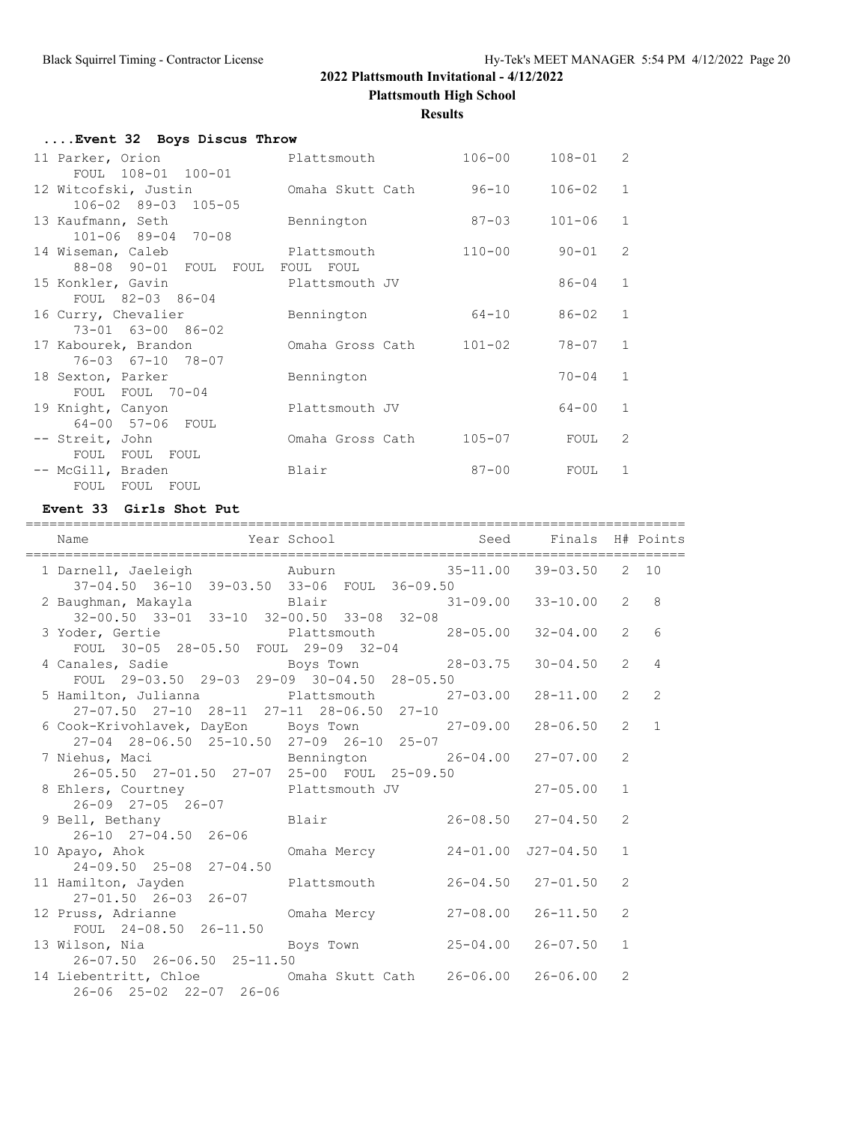**Plattsmouth High School**

**Results**

| Event 32 Boys Discus Throw |                         |            |              |                |
|----------------------------|-------------------------|------------|--------------|----------------|
| 11 Parker, Orion           | Plattsmouth             | $106 - 00$ | $108 - 01$ 2 |                |
| FOUL 108-01 100-01         |                         |            |              |                |
| 12 Witcofski, Justin       | Omaha Skutt Cath        | 96-10      | $106 - 02$   | $\mathbf{1}$   |
| 106-02 89-03 105-05        |                         |            |              |                |
| 13 Kaufmann, Seth          | Bennington              | $87 - 03$  | $101 - 06$   | $\mathbf{1}$   |
| $101 - 06$ 89-04 70-08     |                         |            |              |                |
| 14 Wiseman, Caleb          | Plattsmouth             | 110-00     | 90-01        | $\mathcal{L}$  |
| 88-08 90-01 FOUL FOUL      | FOUL<br>FOUL            |            |              |                |
| 15 Konkler, Gavin          | Plattsmouth JV          |            | 86-04        | $\overline{1}$ |
| FOUL 82-03 86-04           |                         |            |              |                |
| 16 Curry, Chevalier        | Bennington              | 64-10      | 86-02        | $\mathbf{1}$   |
| 73-01 63-00 86-02          |                         |            |              |                |
| 17 Kabourek, Brandon       | Omaha Gross Cath 101-02 |            | 78-07        | $\mathbf{1}$   |
| 76-03 67-10 78-07          |                         |            |              |                |
| 18 Sexton, Parker          | Bennington              |            | $70 - 04$    | $\mathbf{1}$   |
| FOUL FOUL 70-04            |                         |            |              |                |
| 19 Knight, Canyon          | Plattsmouth JV          |            | 64-00        | $\mathbf{1}$   |
| 64-00 57-06 FOUL           |                         |            |              |                |
| -- Streit, John            | Omaha Gross Cath        | $105 - 07$ | FOUL         | 2              |
| FOUL FOUL FOUL             |                         |            |              |                |
| -- McGill, Braden          | Blair                   | $87 - 00$  | FOUL         | $\mathbf{1}$   |
| FOUL FOUL FOUL             |                         |            |              |                |

#### **Event 33 Girls Shot Put**

=================================================================================== Name The Year School Seed Finals H# Points =================================================================================== 1 Darnell, Jaeleigh Auburn 35-11.00 39-03.50 2 10 37-04.50 36-10 39-03.50 33-06 FOUL 36-09.50 2 Baughman, Makayla Blair 31-09.00 33-10.00 2 8 32-00.50 33-01 33-10 32-00.50 33-08 32-08 3 Yoder, Gertie Plattsmouth 28-05.00 32-04.00 2 6 FOUL 30-05 28-05.50 FOUL 29-09 32-04 4 Canales, Sadie Boys Town 28-03.75 30-04.50 2 4 FOUL 29-03.50 29-03 29-09 30-04.50 28-05.50 5 Hamilton, Julianna Plattsmouth 27-03.00 28-11.00 2 2 27-07.50 27-10 28-11 27-11 28-06.50 27-10 6 Cook-Krivohlavek, DayEon Boys Town 27-09.00 28-06.50 2 1 27-04 28-06.50 25-10.50 27-09 26-10 25-07<br>7 Niehus, Maci Bennington 26 Bennington 26-04.00 27-07.00 2 26-05.50 27-01.50 27-07 25-00 FOUL 25-09.50 8 Ehlers, Courtney **27-05.00** Plattsmouth JV 27-05.00 1 26-09 27-05 26-07<br>9 Bell, Bethany Blair 26-08.50 27-04.50 2 26-10 27-04.50 26-06 10 Apayo, Ahok Omaha Mercy 24-01.00 J27-04.50 1 24-09.50 25-08 27-04.50 11 Hamilton, Jayden Plattsmouth 26-04.50 27-01.50 2 27-01.50 26-03 26-07 12 Pruss, Adrianne Omaha Mercy 27-08.00 26-11.50 2 FOUL 24-08.50 26-11.50 13 Wilson, Nia Boys Town 25-04.00 26-07.50 1 26-07.50 26-06.50 25-11.50 14 Liebentritt, Chloe Omaha Skutt Cath 26-06.00 26-06.00 2 26-06 25-02 22-07 26-06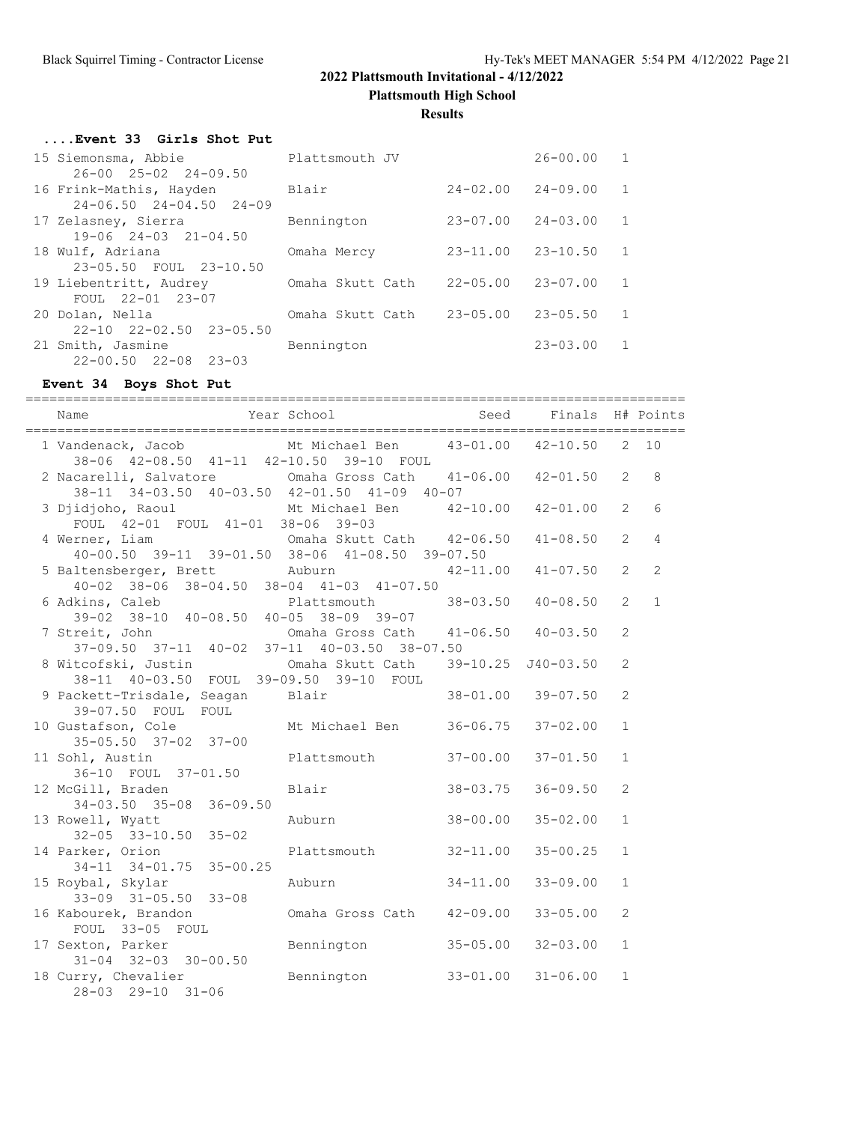**Plattsmouth High School**

**Results**

#### **....Event 33 Girls Shot Put**

| 15 Siemonsma, Abbie                                    | Plattsmouth JV   |              | $26 - 00.00$ | 1 |
|--------------------------------------------------------|------------------|--------------|--------------|---|
| $26 - 00$ $25 - 02$ $24 - 09.50$                       |                  |              |              |   |
| 16 Frink-Mathis, Hayden                                | Blair            | $24 - 02.00$ | $24 - 09.00$ | 1 |
| $24 - 06.50$ $24 - 04.50$ $24 - 09$                    |                  |              |              |   |
| 17 Zelasney, Sierra                                    | Bennington       | $23 - 07.00$ | $24 - 03.00$ |   |
| $19-06$ $24-03$ $21-04.50$                             |                  |              |              |   |
| 18 Wulf, Adriana                                       | Omaha Mercy      | $23 - 11.00$ | $23 - 10.50$ |   |
| 23-05.50 FOUL 23-10.50                                 |                  |              |              |   |
| 19 Liebentritt, Audrey<br>FOUL 22-01 23-07             | Omaha Skutt Cath | $22 - 05.00$ | $23 - 07.00$ | 1 |
|                                                        |                  |              |              |   |
| 20 Dolan, Nella<br>$22 - 10$ $22 - 02.50$ $23 - 05.50$ | Omaha Skutt Cath | $23 - 05.00$ | $23 - 05.50$ |   |
| 21 Smith, Jasmine                                      | Bennington       |              | $23 - 03.00$ |   |
| $22 - 00.50$ $22 - 08$<br>$23 - 03$                    |                  |              |              |   |
|                                                        |                  |              |              |   |

# **Event 34 Boys Shot Put**

| Name                                                                                                      | Year School and Seed Finals H# Points |              |                           |                |                |
|-----------------------------------------------------------------------------------------------------------|---------------------------------------|--------------|---------------------------|----------------|----------------|
| 1 Vandenack, Jacob Mt Michael Ben 43-01.00 42-10.50<br>38-06 42-08.50 41-11 42-10.50 39-10 FOUL           |                                       |              |                           |                | $2 - 10$       |
| 2 Nacarelli, Salvatore Cmaha Gross Cath 41-06.00 42-01.50<br>38-11 34-03.50 40-03.50 42-01.50 41-09 40-07 |                                       |              |                           | $\overline{2}$ | 8              |
| 3 Djidjoho, Raoul Mt Michael Ben 42-10.00<br>FOUL 42-01 FOUL 41-01 38-06 39-03                            |                                       |              | $42 - 01.00$              | $\overline{2}$ | 6              |
| 4 Werner, Liam Cmaha Skutt Cath 42-06.50<br>40-00.50 39-11 39-01.50 38-06 41-08.50 39-07.50               |                                       |              | $41 - 08.50$              | $\overline{2}$ | $\overline{4}$ |
| 5 Baltensberger, Brett Auburn<br>$40-02$ $38-06$ $38-04.50$ $38-04$ $41-03$ $41-07.50$                    |                                       |              | $42 - 11.00$ $41 - 07.50$ | $\overline{2}$ | $\overline{2}$ |
| 6 Adkins, Caleb<br>lkins, Caleb Plattsmouth 38-03.50 40-08.50<br>39-02 38-10 40-08.50 40-05 38-09 39-07   |                                       |              |                           | $\overline{2}$ | $\mathbf{1}$   |
| 7 Streit, John Cmaha Gross Cath 41-06.50 40-03.50<br>37-09.50 37-11 40-02 37-11 40-03.50 38-07.50         |                                       |              |                           | 2              |                |
| 8 Witcofski, Justin<br>38-11 40-03.50 FOUL 39-09.50 39-10 FOUL                                            | Omaha Skutt Cath 39-10.25 J40-03.50   |              |                           | $\overline{2}$ |                |
| 9 Packett-Trisdale, Seagan Blair 38-01.00 39-07.50                                                        |                                       |              |                           | $\overline{2}$ |                |
| 39-07.50 FOUL FOUL<br>10 Gustafson, Cole Mt Michael Ben 36-06.75<br>35-05.50 37-02 37-00                  |                                       |              | $37 - 02.00$              | $\mathbf{1}$   |                |
| 11 Sohl, Austin<br>36-10 FOUL 37-01.50                                                                    | Plattsmouth 37-00.00                  |              | $37 - 01.50$              | $\mathbf{1}$   |                |
| 12 McGill, Braden<br>$34-03.50$ $35-08$ $36-09.50$                                                        | Blair                                 | $38 - 03.75$ | $36 - 09.50$              | 2              |                |
| 13 Rowell, Wyatt<br>$32 - 05$ $33 - 10.50$ $35 - 02$                                                      | Auburn                                | $38 - 00.00$ | $35 - 02.00$              | $\mathbf{1}$   |                |
| 14 Parker, Orion<br>$34-11$ $34-01.75$ $35-00.25$                                                         | Plattsmouth 32-11.00                  |              | $35 - 00.25$              | $\mathbf{1}$   |                |
| 15 Roybal, Skylar<br>$33-09$ $31-05.50$ $33-08$                                                           | Auburn                                | $34 - 11.00$ | $33 - 09.00$              | $\mathbf{1}$   |                |
| 16 Kabourek, Brandon Cmaha Gross Cath 42-09.00<br>FOUL 33-05 FOUL                                         |                                       |              | $33 - 05.00$              | 2              |                |
| 17 Sexton, Parker Bennington<br>$31 - 04$ $32 - 03$ $30 - 00.50$                                          |                                       |              | $35 - 05.00$ $32 - 03.00$ | $\mathbf{1}$   |                |
| 18 Curry, Chevalier Bennington<br>28-03 29-10 31-06                                                       |                                       |              | $33 - 01.00$ $31 - 06.00$ | $\mathbf{1}$   |                |